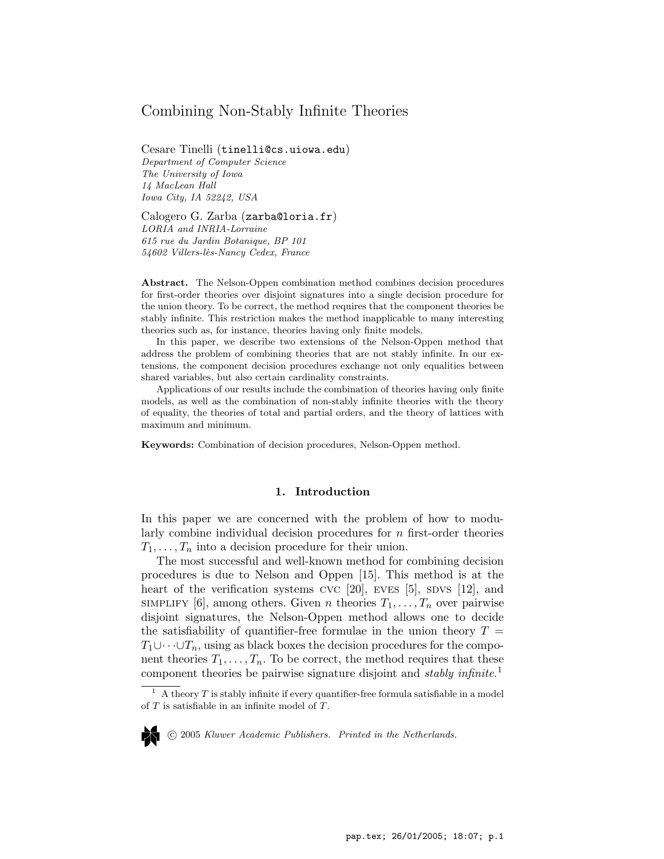# Combining Non-Stably Infinite Theories

Cesare Tinelli (tinelli@cs.uiowa.edu) Department of Computer Science The University of Iowa 14 MacLean Hall Iowa City, IA 52242, USA

Calogero G. Zarba (zarba@loria.fr) LORIA and INRIA-Lorraine 615 rue du Jardin Botanique, BP 101 54602 Villers-lès-Nancy Cedex, France

Abstract. The Nelson-Oppen combination method combines decision procedures for first-order theories over disjoint signatures into a single decision procedure for the union theory. To be correct, the method requires that the component theories be stably infinite. This restriction makes the method inapplicable to many interesting theories such as, for instance, theories having only finite models.

In this paper, we describe two extensions of the Nelson-Oppen method that address the problem of combining theories that are not stably infinite. In our extensions, the component decision procedures exchange not only equalities between shared variables, but also certain cardinality constraints.

Applications of our results include the combination of theories having only finite models, as well as the combination of non-stably infinite theories with the theory of equality, the theories of total and partial orders, and the theory of lattices with maximum and minimum.

Keywords: Combination of decision procedures, Nelson-Oppen method.

### 1. Introduction

In this paper we are concerned with the problem of how to modularly combine individual decision procedures for n first-order theories  $T_1, \ldots, T_n$  into a decision procedure for their union.

The most successful and well-known method for combining decision procedures is due to Nelson and Oppen [15]. This method is at the heart of the verification systems  $\rm{cyc}$  [20],  $\rm{eves}$  [5],  $\rm{svss}$  [12], and SIMPLIFY [6], among others. Given n theories  $T_1, \ldots, T_n$  over pairwise disjoint signatures, the Nelson-Oppen method allows one to decide the satisfiability of quantifier-free formulae in the union theory  $T =$  $T_1\cup\cdots\cup T_n$ , using as black boxes the decision procedures for the component theories  $T_1, \ldots, T_n$ . To be correct, the method requires that these component theories be pairwise signature disjoint and *stably infinite*.<sup>1</sup>

°c 2005 Kluwer Academic Publishers. Printed in the Netherlands.

A theory  $T$  is stably infinite if every quantifier-free formula satisfiable in a model of  $T$  is satisfiable in an infinite model of  $T$ .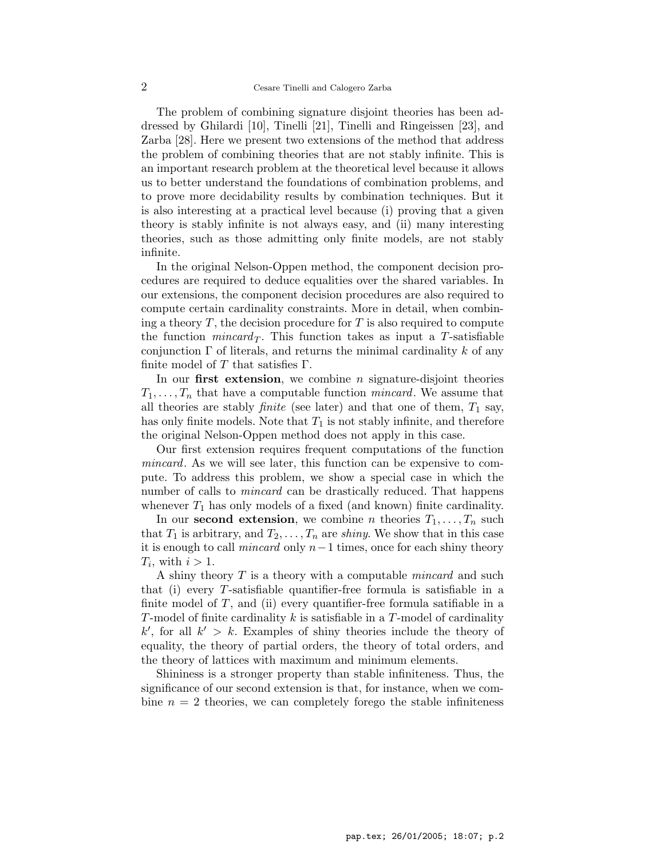The problem of combining signature disjoint theories has been addressed by Ghilardi [10], Tinelli [21], Tinelli and Ringeissen [23], and Zarba [28]. Here we present two extensions of the method that address the problem of combining theories that are not stably infinite. This is an important research problem at the theoretical level because it allows us to better understand the foundations of combination problems, and to prove more decidability results by combination techniques. But it is also interesting at a practical level because (i) proving that a given theory is stably infinite is not always easy, and (ii) many interesting theories, such as those admitting only finite models, are not stably infinite.

In the original Nelson-Oppen method, the component decision procedures are required to deduce equalities over the shared variables. In our extensions, the component decision procedures are also required to compute certain cardinality constraints. More in detail, when combining a theory  $T$ , the decision procedure for  $T$  is also required to compute the function *mincard*<sub>T</sub>. This function takes as input a T-satisfiable conjunction  $\Gamma$  of literals, and returns the minimal cardinality k of any finite model of T that satisfies  $\Gamma$ .

In our first extension, we combine  $n$  signature-disjoint theories  $T_1, \ldots, T_n$  that have a computable function *mincard*. We assume that all theories are stably *finite* (see later) and that one of them,  $T_1$  say, has only finite models. Note that  $T_1$  is not stably infinite, and therefore the original Nelson-Oppen method does not apply in this case.

Our first extension requires frequent computations of the function mincard. As we will see later, this function can be expensive to compute. To address this problem, we show a special case in which the number of calls to *mincard* can be drastically reduced. That happens whenever  $T_1$  has only models of a fixed (and known) finite cardinality.

In our **second extension**, we combine *n* theories  $T_1, \ldots, T_n$  such that  $T_1$  is arbitrary, and  $T_2, \ldots, T_n$  are *shiny*. We show that in this case it is enough to call *mincard* only  $n-1$  times, once for each shiny theory  $T_i$ , with  $i > 1$ .

A shiny theory  $T$  is a theory with a computable *mincard* and such that (i) every T-satisfiable quantifier-free formula is satisfiable in a finite model of  $T$ , and (ii) every quantifier-free formula satifiable in a T-model of finite cardinality  $k$  is satisfiable in a T-model of cardinality  $k'$ , for all  $k' > k$ . Examples of shiny theories include the theory of equality, the theory of partial orders, the theory of total orders, and the theory of lattices with maximum and minimum elements.

Shininess is a stronger property than stable infiniteness. Thus, the significance of our second extension is that, for instance, when we combine  $n = 2$  theories, we can completely forego the stable infiniteness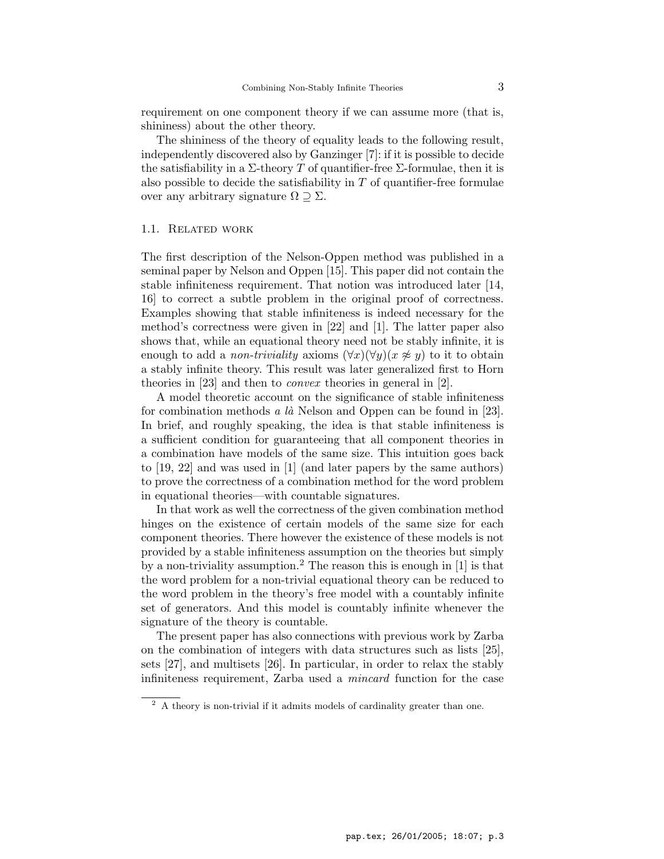requirement on one component theory if we can assume more (that is, shininess) about the other theory.

The shininess of the theory of equality leads to the following result, independently discovered also by Ganzinger [7]: if it is possible to decide the satisfiability in a  $\Sigma$ -theory T of quantifier-free  $\Sigma$ -formulae, then it is also possible to decide the satisfiability in  $T$  of quantifier-free formulae over any arbitrary signature  $\Omega \supseteq \Sigma$ .

## 1.1. Related work

The first description of the Nelson-Oppen method was published in a seminal paper by Nelson and Oppen [15]. This paper did not contain the stable infiniteness requirement. That notion was introduced later [14, 16] to correct a subtle problem in the original proof of correctness. Examples showing that stable infiniteness is indeed necessary for the method's correctness were given in [22] and [1]. The latter paper also shows that, while an equational theory need not be stably infinite, it is enough to add a *non-triviality* axioms  $(\forall x)(\forall y)(x \not\approx y)$  to it to obtain a stably infinite theory. This result was later generalized first to Horn theories in [23] and then to convex theories in general in [2].

A model theoretic account on the significance of stable infiniteness for combination methods a  $l\hat{a}$  Nelson and Oppen can be found in [23]. In brief, and roughly speaking, the idea is that stable infiniteness is a sufficient condition for guaranteeing that all component theories in a combination have models of the same size. This intuition goes back to [19, 22] and was used in [1] (and later papers by the same authors) to prove the correctness of a combination method for the word problem in equational theories—with countable signatures.

In that work as well the correctness of the given combination method hinges on the existence of certain models of the same size for each component theories. There however the existence of these models is not provided by a stable infiniteness assumption on the theories but simply by a non-triviality assumption.<sup>2</sup> The reason this is enough in  $[1]$  is that the word problem for a non-trivial equational theory can be reduced to the word problem in the theory's free model with a countably infinite set of generators. And this model is countably infinite whenever the signature of the theory is countable.

The present paper has also connections with previous work by Zarba on the combination of integers with data structures such as lists [25], sets [27], and multisets [26]. In particular, in order to relax the stably infiniteness requirement, Zarba used a mincard function for the case

<sup>2</sup> A theory is non-trivial if it admits models of cardinality greater than one.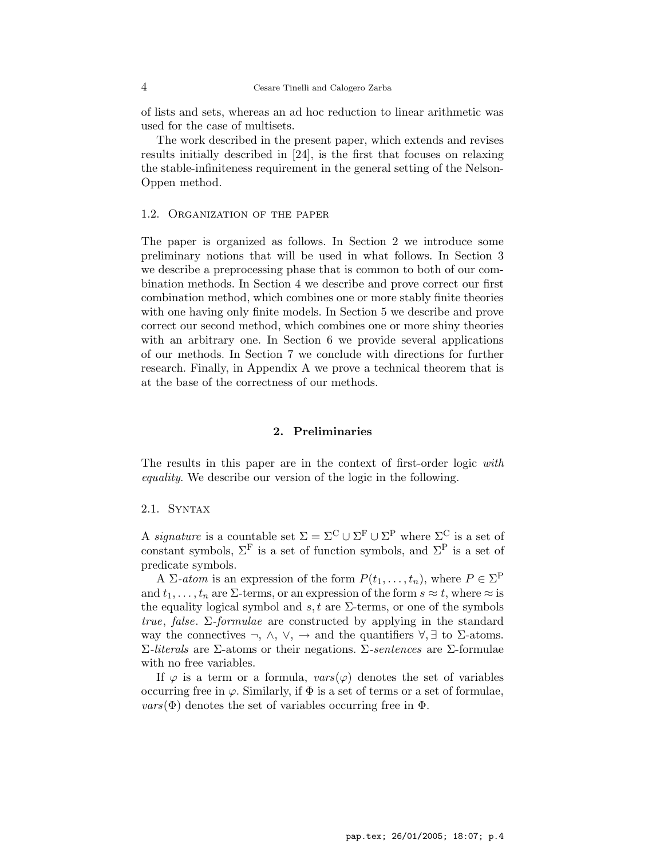of lists and sets, whereas an ad hoc reduction to linear arithmetic was used for the case of multisets.

The work described in the present paper, which extends and revises results initially described in [24], is the first that focuses on relaxing the stable-infiniteness requirement in the general setting of the Nelson-Oppen method.

## 1.2. Organization of the paper

The paper is organized as follows. In Section 2 we introduce some preliminary notions that will be used in what follows. In Section 3 we describe a preprocessing phase that is common to both of our combination methods. In Section 4 we describe and prove correct our first combination method, which combines one or more stably finite theories with one having only finite models. In Section 5 we describe and prove correct our second method, which combines one or more shiny theories with an arbitrary one. In Section 6 we provide several applications of our methods. In Section 7 we conclude with directions for further research. Finally, in Appendix A we prove a technical theorem that is at the base of the correctness of our methods.

## 2. Preliminaries

The results in this paper are in the context of first-order logic with equality. We describe our version of the logic in the following.

## 2.1. Syntax

A *signature* is a countable set  $\Sigma = \Sigma^C \cup \Sigma^F \cup \Sigma^P$  where  $\Sigma^C$  is a set of constant symbols,  $\Sigma^{\mathrm{F}}$  is a set of function symbols, and  $\Sigma^{\mathrm{P}}$  is a set of predicate symbols.

A  $\Sigma\text{-}atom$  is an expression of the form  $P(t_1,\ldots,t_n)$ , where  $P \in \Sigma^P$ and  $t_1, \ldots, t_n$  are  $\Sigma$ -terms, or an expression of the form  $s \approx t$ , where  $\approx$  is the equality logical symbol and s, t are  $\Sigma$ -terms, or one of the symbols true, false.  $\Sigma$ -formulae are constructed by applying in the standard way the connectives  $\neg$ ,  $\wedge$ ,  $\vee$ ,  $\rightarrow$  and the quantifiers  $\forall$ ,  $\exists$  to  $\Sigma$ -atoms.  $\Sigma$ -literals are  $\Sigma$ -atoms or their negations.  $\Sigma$ -sentences are  $\Sigma$ -formulae with no free variables.

If  $\varphi$  is a term or a formula,  $vars(\varphi)$  denotes the set of variables occurring free in  $\varphi$ . Similarly, if  $\Phi$  is a set of terms or a set of formulae,  $vars(\Phi)$  denotes the set of variables occurring free in  $\Phi$ .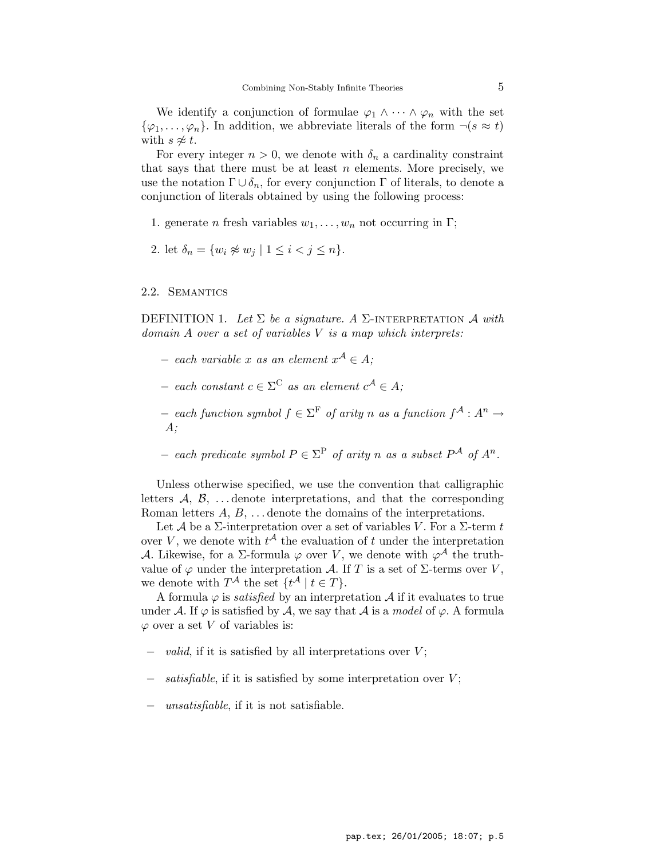We identify a conjunction of formulae  $\varphi_1 \wedge \cdots \wedge \varphi_n$  with the set  $\{\varphi_1,\ldots,\varphi_n\}.$  In addition, we abbreviate literals of the form  $\neg(s \approx t)$ with  $s \not\approx t$ .

For every integer  $n > 0$ , we denote with  $\delta_n$  a cardinality constraint that says that there must be at least  $n$  elements. More precisely, we use the notation  $\Gamma \cup \delta_n$ , for every conjunction  $\Gamma$  of literals, to denote a conjunction of literals obtained by using the following process:

- 1. generate *n* fresh variables  $w_1, \ldots, w_n$  not occurring in Γ;
- 2. let  $\delta_n = \{w_i \not\approx w_j \mid 1 \leq i < j \leq n\}.$

## 2.2. Semantics

DEFINITION 1. Let  $\Sigma$  be a signature. A  $\Sigma$ -INTERPRETATION  $\mathcal A$  with  $domain A over a set of variables V is a map which interprets:\n\n $\begin{bmatrix}\na & b & c \\
c & d & e\n\end{bmatrix}$$ 

- $-$  each variable x as an element  $x^{\mathcal{A}} \in A$ ;
- $-$  each constant  $c \in \Sigma^C$  as an element  $c^{\mathcal{A}} \in A$ ;
- $-$  each function symbol  $f \in \Sigma^{\mathrm{F}}$  of arity n as a function  $f^{\mathcal{A}}: A^{n}$  → A;
- − each predicate symbol  $P \in \Sigma^{\mathcal{P}}$  of arity n as a subset  $P^{\mathcal{A}}$  of  $A^{n}$ .

Unless otherwise specified, we use the convention that calligraphic letters  $\mathcal{A}, \mathcal{B}, \ldots$  denote interpretations, and that the corresponding Roman letters  $A, B, \ldots$  denote the domains of the interpretations.

Let A be a  $\Sigma$ -interpretation over a set of variables V. For a  $\Sigma$ -term t over V, we denote with  $t^{\mathcal{A}}$  the evaluation of t under the interpretation A. Likewise, for a  $\Sigma$ -formula  $\varphi$  over V, we denote with  $\varphi^{\mathcal{A}}$  the truthvalue of  $\varphi$  under the interpretation A. If T is a set of  $\Sigma$ -terms over V, we denote with  $T^{\mathcal{A}}$  the set  $\{t^{\mathcal{A}} \mid t \in T\}.$ 

A formula  $\varphi$  is *satisfied* by an interpretation A if it evaluates to true under A. If  $\varphi$  is satisfied by A, we say that A is a *model* of  $\varphi$ . A formula  $\varphi$  over a set V of variables is:

- *valid*, if it is satisfied by all interpretations over  $V$ ;
- satisfiable, if it is satisfied by some interpretation over  $V$ ;
- *unsatisfiable*, if it is not satisfiable.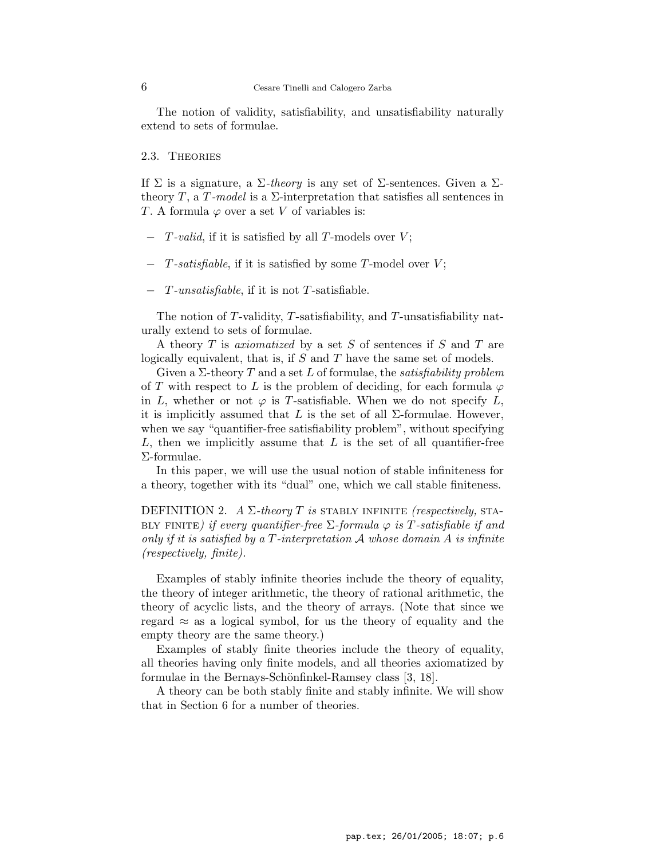The notion of validity, satisfiability, and unsatisfiability naturally extend to sets of formulae.

## 2.3. Theories

If  $\Sigma$  is a signature, a  $\Sigma$ -theory is any set of  $\Sigma$ -sentences. Given a  $\Sigma$ theory T, a T-model is a  $\Sigma$ -interpretation that satisfies all sentences in T. A formula  $\varphi$  over a set V of variables is:

- $-$  T-valid, if it is satisfied by all T-models over V;
- $T$ -satisfiable, if it is satisfied by some  $T$ -model over  $V$ ;
- − T-unsatisfiable, if it is not T-satisfiable.

The notion of T-validity, T-satisfiability, and T-unsatisfiability naturally extend to sets of formulae.

A theory T is *axiomatized* by a set S of sentences if S and T are logically equivalent, that is, if  $S$  and  $T$  have the same set of models.

Given a  $\Sigma$ -theory T and a set L of formulae, the *satisfiability problem* of T with respect to L is the problem of deciding, for each formula  $\varphi$ in L, whether or not  $\varphi$  is T-satisfiable. When we do not specify L, it is implicitly assumed that L is the set of all  $\Sigma$ -formulae. However, when we say "quantifier-free satisfiability problem", without specifying L, then we implicitly assume that  $L$  is the set of all quantifier-free Σ-formulae.

In this paper, we will use the usual notion of stable infiniteness for a theory, together with its "dual" one, which we call stable finiteness.

DEFINITION 2.  $A \Sigma$ -theory T is stably infinite (respectively, STA-BLY FINITE) if every quantifier-free  $\Sigma$ -formula  $\varphi$  is T-satisfiable if and only if it is satisfied by a  $T$ -interpretation  $A$  whose domain  $A$  is infinite (respectively, finite).

Examples of stably infinite theories include the theory of equality, the theory of integer arithmetic, the theory of rational arithmetic, the theory of acyclic lists, and the theory of arrays. (Note that since we regard  $\approx$  as a logical symbol, for us the theory of equality and the empty theory are the same theory.)

Examples of stably finite theories include the theory of equality, all theories having only finite models, and all theories axiomatized by formulae in the Bernays-Schönfinkel-Ramsey class [3, 18].

A theory can be both stably finite and stably infinite. We will show that in Section 6 for a number of theories.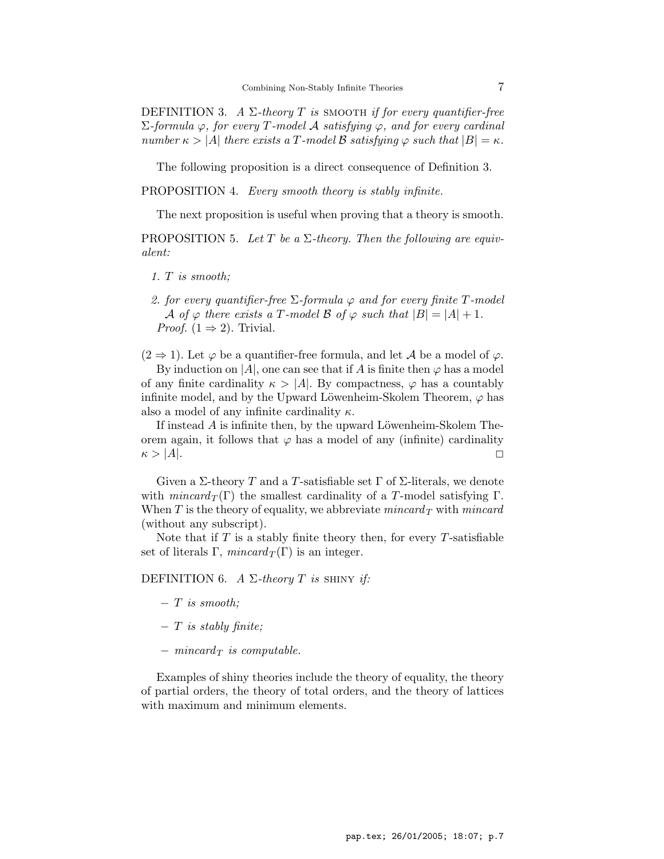DEFINITION 3. A  $\Sigma$ -theory T is SMOOTH if for every quantifier-free  $\Sigma$ -formula  $\varphi$ , for every T-model A satisfying  $\varphi$ , and for every cardinal number  $\kappa > |A|$  there exists a T-model B satisfying  $\varphi$  such that  $|B| = \kappa$ .

The following proposition is a direct consequence of Definition 3.

PROPOSITION 4. Every smooth theory is stably infinite.

The next proposition is useful when proving that a theory is smooth.

PROPOSITION 5. Let T be a  $\Sigma$ -theory. Then the following are equivalent:

- 1. T is smooth;
- 2. for every quantifier-free  $\Sigma$ -formula  $\varphi$  and for every finite T-model A of  $\varphi$  there exists a T-model B of  $\varphi$  such that  $|B| = |A| + 1$ . *Proof.*  $(1 \Rightarrow 2)$ . Trivial.

 $(2 \Rightarrow 1)$ . Let  $\varphi$  be a quantifier-free formula, and let A be a model of  $\varphi$ .

By induction on |A|, one can see that if A is finite then  $\varphi$  has a model of any finite cardinality  $\kappa > |A|$ . By compactness,  $\varphi$  has a countably infinite model, and by the Upward Löwenheim-Skolem Theorem,  $\varphi$  has also a model of any infinite cardinality  $\kappa$ .

If instead  $A$  is infinite then, by the upward Löwenheim-Skolem Theorem again, it follows that  $\varphi$  has a model of any (infinite) cardinality  $\kappa > |A|.$ 

Given a Σ-theory T and a T-satisfiable set Γ of Σ-literals, we denote with  $mincard_T(\Gamma)$  the smallest cardinality of a T-model satisfying  $\Gamma$ . When  $T$  is the theory of equality, we abbreviate mincard  $T$  with mincard (without any subscript).

Note that if  $T$  is a stably finite theory then, for every  $T$ -satisfiable set of literals Γ,  $mincard_T(\Gamma)$  is an integer.

DEFINITION 6. A  $\Sigma$ -theory T is SHINY if:

- $-$  T is smooth;
- $T$  is stably finite;
- $−$  mincard<sub>T</sub> is computable.

Examples of shiny theories include the theory of equality, the theory of partial orders, the theory of total orders, and the theory of lattices with maximum and minimum elements.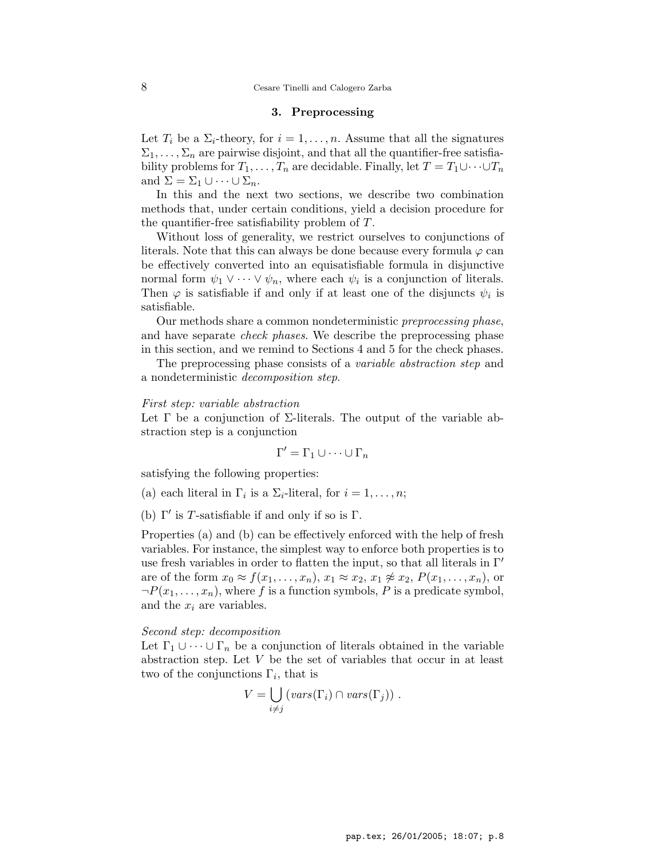## 3. Preprocessing

Let  $T_i$  be a  $\Sigma_i$ -theory, for  $i = 1, \ldots, n$ . Assume that all the signatures  $\Sigma_1, \ldots, \Sigma_n$  are pairwise disjoint, and that all the quantifier-free satisfiability problems for  $T_1, \ldots, T_n$  are decidable. Finally, let  $T = T_1 \cup \cdots \cup T_n$ and  $\Sigma = \Sigma_1 \cup \cdots \cup \Sigma_n$ .

In this and the next two sections, we describe two combination methods that, under certain conditions, yield a decision procedure for the quantifier-free satisfiability problem of T.

Without loss of generality, we restrict ourselves to conjunctions of literals. Note that this can always be done because every formula  $\varphi$  can be effectively converted into an equisatisfiable formula in disjunctive normal form  $\psi_1 \vee \cdots \vee \psi_n$ , where each  $\psi_i$  is a conjunction of literals. Then  $\varphi$  is satisfiable if and only if at least one of the disjuncts  $\psi_i$  is satisfiable.

Our methods share a common nondeterministic preprocessing phase, and have separate *check phases*. We describe the preprocessing phase in this section, and we remind to Sections 4 and 5 for the check phases.

The preprocessing phase consists of a variable abstraction step and a nondeterministic decomposition step.

#### First step: variable abstraction

Let  $\Gamma$  be a conjunction of  $\Sigma$ -literals. The output of the variable abstraction step is a conjunction

$$
\Gamma' = \Gamma_1 \cup \dots \cup \Gamma_n
$$

satisfying the following properties:

- (a) each literal in  $\Gamma_i$  is a  $\Sigma_i$ -literal, for  $i = 1, \ldots, n;$
- (b)  $\Gamma'$  is T-satisfiable if and only if so is  $\Gamma$ .

Properties (a) and (b) can be effectively enforced with the help of fresh variables. For instance, the simplest way to enforce both properties is to use fresh variables in order to flatten the input, so that all literals in  $\Gamma'$ are of the form  $x_0 \approx f(x_1, \ldots, x_n)$ ,  $x_1 \approx x_2$ ,  $x_1 \not\approx x_2$ ,  $P(x_1, \ldots, x_n)$ , or  $\neg P(x_1, \ldots, x_n)$ , where f is a function symbols, P is a predicate symbol, and the  $x_i$  are variables.

## Second step: decomposition

Let  $\Gamma_1 \cup \cdots \cup \Gamma_n$  be a conjunction of literals obtained in the variable abstraction step. Let V be the set of variables that occur in at least two of the conjunctions  $\Gamma_i$ , that is

$$
V = \bigcup_{i \neq j} (vars(\Gamma_i) \cap vars(\Gamma_j)) .
$$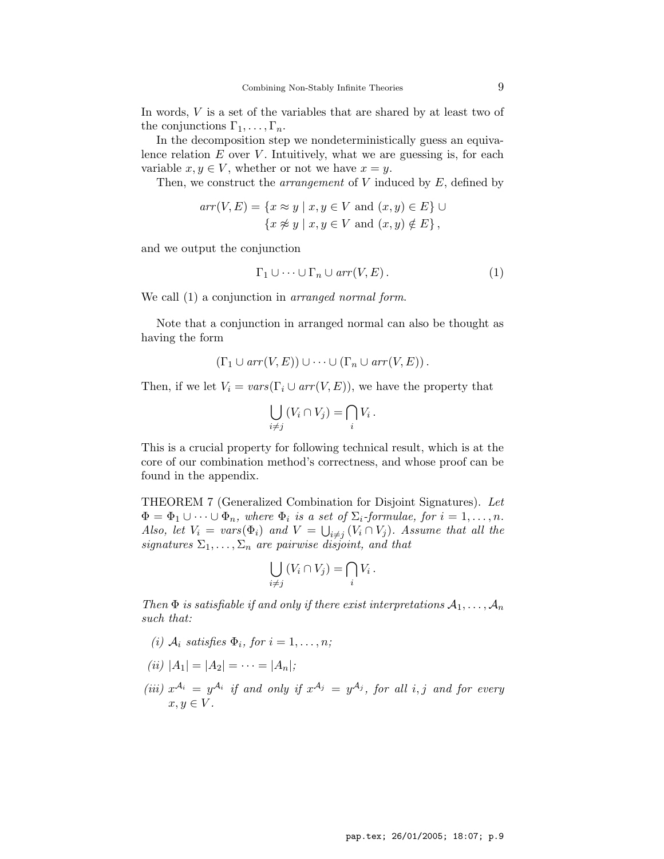In words,  $V$  is a set of the variables that are shared by at least two of the conjunctions  $\Gamma_1, \ldots, \Gamma_n$ .

In the decomposition step we nondeterministically guess an equivalence relation  $E$  over  $V$ . Intuitively, what we are guessing is, for each variable  $x, y \in V$ , whether or not we have  $x = y$ .

Then, we construct the *arrangement* of  $V$  induced by  $E$ , defined by

$$
arr(V, E) = \{ x \approx y \mid x, y \in V \text{ and } (x, y) \in E \} \cup
$$
  

$$
\{ x \not\approx y \mid x, y \in V \text{ and } (x, y) \notin E \},
$$

and we output the conjunction

$$
\Gamma_1 \cup \cdots \cup \Gamma_n \cup arr(V, E). \tag{1}
$$

We call  $(1)$  a conjunction in *arranged normal form*.

Note that a conjunction in arranged normal can also be thought as having the form

$$
(\Gamma_1 \cup arr(V, E)) \cup \cdots \cup (\Gamma_n \cup arr(V, E)).
$$

Then, if we let  $V_i = vars(\Gamma_i \cup arr(V, E))$ , we have the property that

$$
\bigcup_{i \neq j} (V_i \cap V_j) = \bigcap_i V_i \, .
$$

This is a crucial property for following technical result, which is at the core of our combination method's correctness, and whose proof can be found in the appendix.

THEOREM 7 (Generalized Combination for Disjoint Signatures). Let  $\Phi = \Phi_1 \cup \cdots \cup \Phi_n$ , where  $\Phi_i$  is a set of  $\Sigma_i$ -formulae, for  $i = 1, \ldots, n$ . Also, let  $V_i = vars(\Phi_i)$  and  $V = \bigcup_{i \neq j} (V_i \cap V_j)$ . Assume that all the signatures  $\Sigma_1, \ldots, \Sigma_n$  are pairwise disjoint, and that

$$
\bigcup_{i \neq j} (V_i \cap V_j) = \bigcap_i V_i \, .
$$

Then  $\Phi$  is satisfiable if and only if there exist interpretations  $A_1, \ldots, A_n$ such that:

- (i)  $A_i$  satisfies  $\Phi_i$ , for  $i = 1, \ldots, n;$
- (ii)  $|A_1| = |A_2| = \cdots = |A_n|;$
- (iii)  $x^{A_i} = y^{A_i}$  if and only if  $x^{A_j} = y^{A_j}$ , for all i, j and for every  $x, y \in V$ .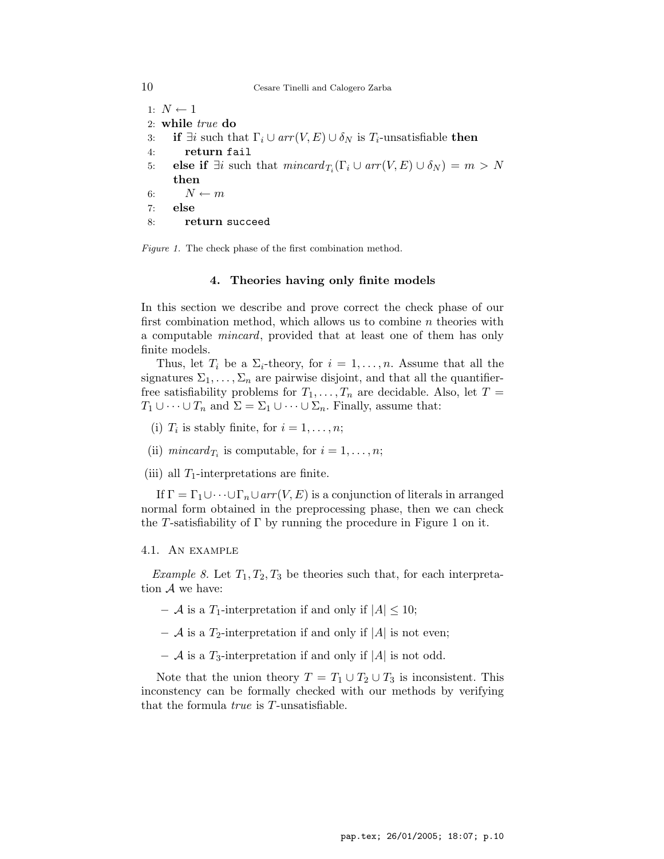## 10 Cesare Tinelli and Calogero Zarba

- 1:  $N \leftarrow 1$
- 2: while true do
- 3: if  $\exists i$  such that  $\Gamma_i \cup arr(V, E) \cup \delta_N$  is  $T_i$ -unsatisfiable then
- 4: return fail
- 5: **else if**  $\exists i$  such that  $mincard_{T_i}(\Gamma_i \cup arr(V, E) \cup \delta_N) = m > N$ then
- 6:  $N \leftarrow m$
- 7: else
- 8: return succeed

Figure 1. The check phase of the first combination method.

## 4. Theories having only finite models

In this section we describe and prove correct the check phase of our first combination method, which allows us to combine  $n$  theories with a computable mincard, provided that at least one of them has only finite models.

Thus, let  $T_i$  be a  $\Sigma_i$ -theory, for  $i = 1, \ldots, n$ . Assume that all the signatures  $\Sigma_1, \ldots, \Sigma_n$  are pairwise disjoint, and that all the quantifierfree satisfiability problems for  $T_1, \ldots, T_n$  are decidable. Also, let  $T =$  $T_1 \cup \cdots \cup T_n$  and  $\Sigma = \Sigma_1 \cup \cdots \cup \Sigma_n$ . Finally, assume that:

- (i)  $T_i$  is stably finite, for  $i = 1, \ldots, n;$
- (ii)  $mincard_{T_i}$  is computable, for  $i = 1, ..., n$ ;
- (iii) all  $T_1$ -interpretations are finite.

If  $\Gamma = \Gamma_1 \cup \cdots \cup \Gamma_n \cup arr(V, E)$  is a conjunction of literals in arranged normal form obtained in the preprocessing phase, then we can check the T-satisfiability of  $\Gamma$  by running the procedure in Figure 1 on it.

## 4.1. An example

*Example 8.* Let  $T_1, T_2, T_3$  be theories such that, for each interpretation A we have:

- $-$  A is a T<sub>1</sub>-interpretation if and only if  $|A| \leq 10$ ;
- $-$  A is a T<sub>2</sub>-interpretation if and only if |A| is not even;
- $-$  A is a T<sub>3</sub>-interpretation if and only if |A| is not odd.

Note that the union theory  $T = T_1 \cup T_2 \cup T_3$  is inconsistent. This inconstency can be formally checked with our methods by verifying that the formula true is T-unsatisfiable.

pap.tex; 26/01/2005; 18:07; p.10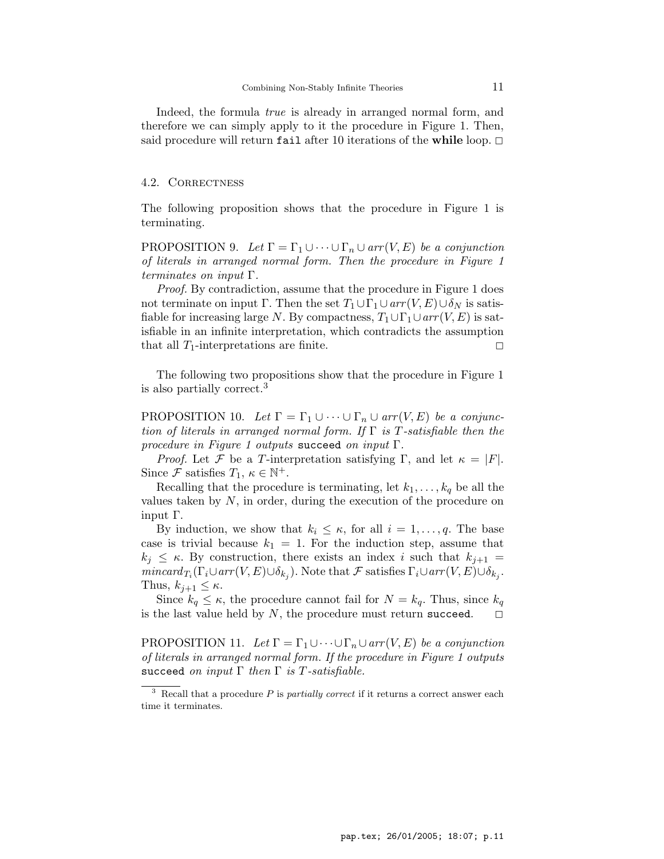Indeed, the formula true is already in arranged normal form, and therefore we can simply apply to it the procedure in Figure 1. Then, said procedure will return fail after 10 iterations of the while loop.  $\Box$ 

#### 4.2. Correctness

The following proposition shows that the procedure in Figure 1 is terminating.

PROPOSITION 9. Let  $\Gamma = \Gamma_1 \cup \cdots \cup \Gamma_n \cup arr(V, E)$  be a conjunction of literals in arranged normal form. Then the procedure in Figure 1 terminates on input  $\Gamma$ .

Proof. By contradiction, assume that the procedure in Figure 1 does not terminate on input Γ. Then the set  $T_1 \cup \Gamma_1 \cup arr(V, E) \cup \delta_N$  is satisfiable for increasing large N. By compactness,  $T_1 \cup \Gamma_1 \cup arr(V, E)$  is satisfiable in an infinite interpretation, which contradicts the assumption that all  $T_1$ -interpretations are finite.

The following two propositions show that the procedure in Figure 1 is also partially correct.<sup>3</sup>

PROPOSITION 10. Let  $\Gamma = \Gamma_1 \cup \cdots \cup \Gamma_n \cup arr(V, E)$  be a conjunction of literals in arranged normal form. If  $\Gamma$  is T-satisfiable then the procedure in Figure 1 outputs succeed on input  $\Gamma$ .

*Proof.* Let F be a T-interpretation satisfying Γ, and let  $\kappa = |F|$ . Since  $\mathcal F$  satisfies  $T_1, \kappa \in \mathbb N^+$ .

Recalling that the procedure is terminating, let  $k_1, \ldots, k_q$  be all the values taken by  $N$ , in order, during the execution of the procedure on input Γ.

By induction, we show that  $k_i \leq \kappa$ , for all  $i = 1, \ldots, q$ . The base case is trivial because  $k_1 = 1$ . For the induction step, assume that  $k_j \leq \kappa$ . By construction, there exists an index i such that  $k_{j+1} =$  $mincard_{T_i}(\Gamma_i \cup arr(V, E) \cup \delta_{k_j})$ . Note that  $\mathcal F$  satisfies  $\Gamma_i \cup arr(V, E) \cup \delta_{k_j}$ . Thus,  $k_{i+1} \leq \kappa$ .

Since  $k_q \leq \kappa$ , the procedure cannot fail for  $N = k_q$ . Thus, since  $k_q$ is the last value held by N, the procedure must return succeed.  $\square$ 

PROPOSITION 11. Let  $\Gamma = \Gamma_1 \cup \cdots \cup \Gamma_n \cup arr(V, E)$  be a conjunction of literals in arranged normal form. If the procedure in Figure 1 outputs succeed on input  $\Gamma$  then  $\Gamma$  is T-satisfiable.

Recall that a procedure  $P$  is *partially correct* if it returns a correct answer each time it terminates.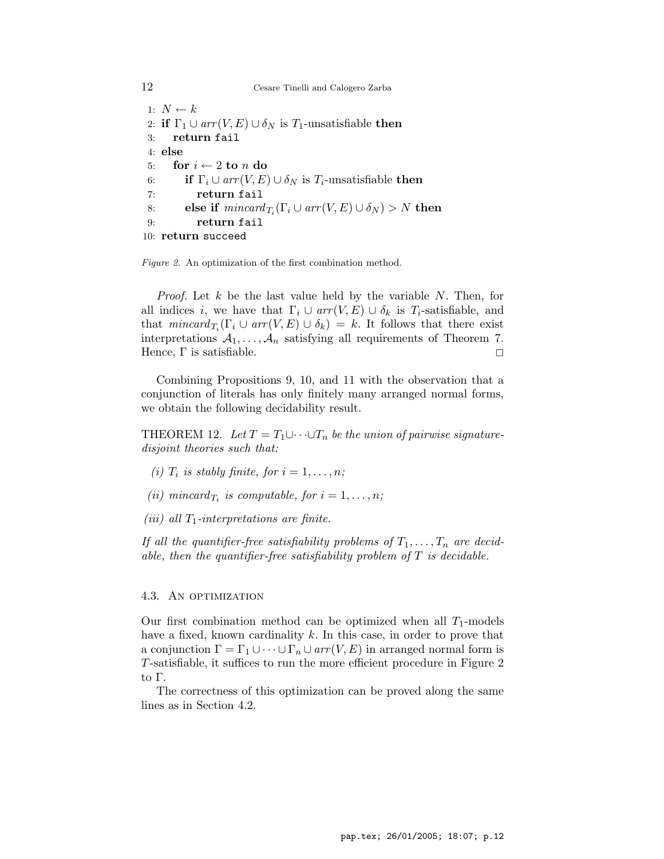```
12 Cesare Tinelli and Calogero Zarba
 1: N \leftarrow k2: if \Gamma_1 \cup arr(V, E) \cup \delta_N is T_1-unsatisfiable then
 3: return fail
 4: else
 5: for i \leftarrow 2 to n do
 6: if \Gamma_i \cup arr(V, E) \cup \delta_N is T_i-unsatisfiable then
 7: return fail
 8: else if mincard_{T_i}(\Gamma_i \cup arr(V, E) \cup \delta_N) > N then
 9: return fail
10: return succeed
```
Figure 2. An optimization of the first combination method.

*Proof.* Let  $k$  be the last value held by the variable  $N$ . Then, for all indices i, we have that  $\Gamma_i \cup arr(V, E) \cup \delta_k$  is  $T_i$ -satisfiable, and that  $mincard_{T_i}(\Gamma_i \cup arr(V, E) \cup \delta_k) = k$ . It follows that there exist interpretations  $A_1, \ldots, A_n$  satisfying all requirements of Theorem 7. Hence,  $\Gamma$  is satisfiable.

Combining Propositions 9, 10, and 11 with the observation that a conjunction of literals has only finitely many arranged normal forms, we obtain the following decidability result.

THEOREM 12. Let  $T = T_1 \cup \cdots \cup T_n$  be the union of pairwise signaturedisjoint theories such that:

- (i)  $T_i$  is stably finite, for  $i = 1, \ldots, n;$
- (ii) mincard<sub>T<sub>i</sub></sub> is computable, for  $i = 1, ..., n$ ;
- (iii) all  $T_1$ -interpretations are finite.

If all the quantifier-free satisfiability problems of  $T_1, \ldots, T_n$  are decidable, then the quantifier-free satisfiability problem of  $T$  is decidable.

## 4.3. AN OPTIMIZATION

Our first combination method can be optimized when all  $T_1$ -models have a fixed, known cardinality  $k$ . In this case, in order to prove that a conjunction  $\Gamma = \Gamma_1 \cup \cdots \cup \Gamma_n \cup arr(V, E)$  in arranged normal form is T-satisfiable, it suffices to run the more efficient procedure in Figure 2 to Γ.

The correctness of this optimization can be proved along the same lines as in Section 4.2.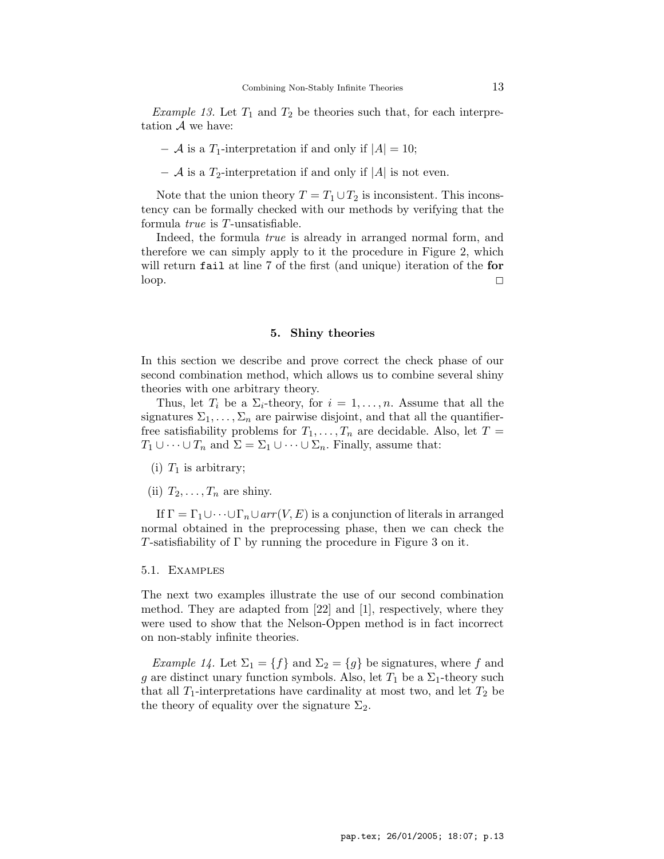*Example 13.* Let  $T_1$  and  $T_2$  be theories such that, for each interpretation  $A$  we have:

- $-$  A is a T<sub>1</sub>-interpretation if and only if  $|A| = 10$ ;
- $-$  A is a T<sub>2</sub>-interpretation if and only if |A| is not even.

Note that the union theory  $T = T_1 \cup T_2$  is inconsistent. This inconstency can be formally checked with our methods by verifying that the formula true is T-unsatisfiable.

Indeed, the formula true is already in arranged normal form, and therefore we can simply apply to it the procedure in Figure 2, which will return fail at line 7 of the first (and unique) iteration of the for  $\Box$ 

## 5. Shiny theories

In this section we describe and prove correct the check phase of our second combination method, which allows us to combine several shiny theories with one arbitrary theory.

Thus, let  $T_i$  be a  $\Sigma_i$ -theory, for  $i = 1, \ldots, n$ . Assume that all the signatures  $\Sigma_1, \ldots, \Sigma_n$  are pairwise disjoint, and that all the quantifierfree satisfiability problems for  $T_1, \ldots, T_n$  are decidable. Also, let  $T =$  $T_1 \cup \cdots \cup T_n$  and  $\Sigma = \Sigma_1 \cup \cdots \cup \Sigma_n$ . Finally, assume that:

- (i)  $T_1$  is arbitrary;
- (ii)  $T_2, \ldots, T_n$  are shiny.

If  $\Gamma = \Gamma_1 \cup \cdots \cup \Gamma_n \cup arr(V, E)$  is a conjunction of literals in arranged normal obtained in the preprocessing phase, then we can check the T-satisfiability of  $\Gamma$  by running the procedure in Figure 3 on it.

5.1. Examples

The next two examples illustrate the use of our second combination method. They are adapted from [22] and [1], respectively, where they were used to show that the Nelson-Oppen method is in fact incorrect on non-stably infinite theories.

*Example 14.* Let  $\Sigma_1 = \{f\}$  and  $\Sigma_2 = \{g\}$  be signatures, where f and g are distinct unary function symbols. Also, let  $T_1$  be a  $\Sigma_1$ -theory such that all  $T_1$ -interpretations have cardinality at most two, and let  $T_2$  be the theory of equality over the signature  $\Sigma_2$ .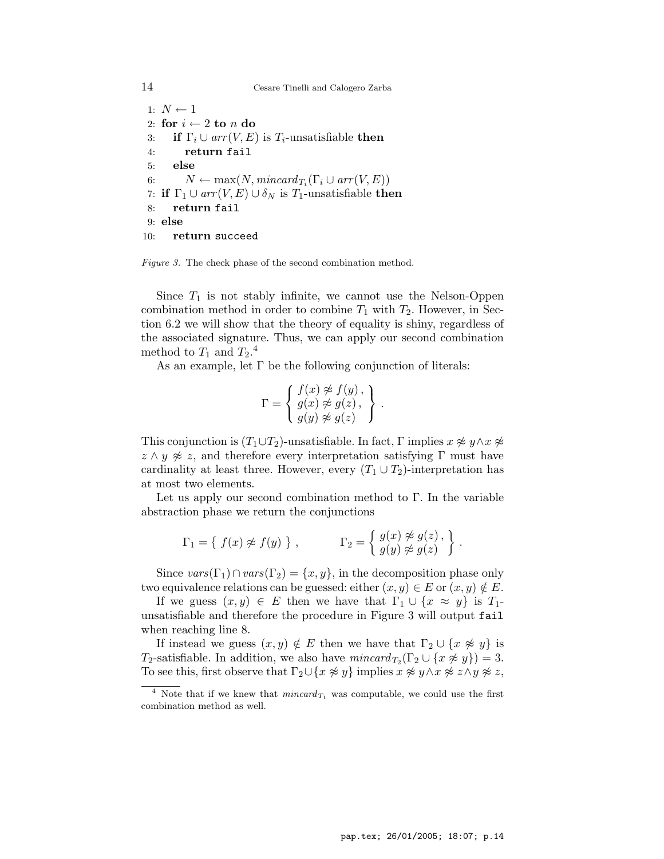14 Cesare Tinelli and Calogero Zarba

1:  $N \leftarrow 1$ 2: for  $i \leftarrow 2$  to n do 3: if  $\Gamma_i \cup arr(V, E)$  is  $T_i$ -unsatisfiable then 4: return fail 5: else 6:  $N \leftarrow \max(N, \text{mincard}_{T_i}(\Gamma_i \cup \text{arr}(V, E))$ 7: if  $\Gamma_1 \cup arr(V, E) \cup \delta_N$  is  $T_1$ -unsatisfiable then 8: return fail 9: else 10: return succeed

Figure 3. The check phase of the second combination method.

Since  $T_1$  is not stably infinite, we cannot use the Nelson-Oppen combination method in order to combine  $T_1$  with  $T_2$ . However, in Section 6.2 we will show that the theory of equality is shiny, regardless of the associated signature. Thus, we can apply our second combination method to  $T_1$  and  $T_2$ <sup>4</sup>

As an example, let  $\Gamma$  be the following conjunction of literals:

$$
\Gamma = \left\{ \begin{array}{l} f(x) \not\approx f(y), \\ g(x) \not\approx g(z), \\ g(y) \not\approx g(z) \end{array} \right\}.
$$

This conjunction is  $(T_1 \cup T_2)$ -unsatisfiable. In fact, Γ implies  $x \not\approx y \land x \not\approx z$  $z \wedge y \not\approx z$ , and therefore every interpretation satisfying Γ must have cardinality at least three. However, every  $(T_1 \cup T_2)$ -interpretation has at most two elements.

Let us apply our second combination method to  $\Gamma$ . In the variable abstraction phase we return the conjunctions

$$
\Gamma_1 = \{ f(x) \not\approx f(y) \}, \qquad \qquad \Gamma_2 = \{ g(x) \not\approx g(z), \}.
$$

Since  $vars(\Gamma_1) \cap vars(\Gamma_2) = \{x, y\}$ , in the decomposition phase only two equivalence relations can be guessed: either  $(x, y) \in E$  or  $(x, y) \notin E$ .

If we guess  $(x, y) \in E$  then we have that  $\Gamma_1 \cup \{x \approx y\}$  is  $T_1$ unsatisfiable and therefore the procedure in Figure 3 will output fail when reaching line 8.

If instead we guess  $(x, y) \notin E$  then we have that  $\Gamma_2 \cup \{x \not\approx y\}$  is T<sub>2</sub>-satisfiable. In addition, we also have  $mincard_{T_2}(\Gamma_2 \cup \{x \not\approx y\}) = 3$ . To see this, first observe that  $\Gamma_2 \cup \{x \not\approx y\}$  implies  $x \not\approx y \land x \not\approx z \land y \not\approx z$ ,

<sup>&</sup>lt;sup>4</sup> Note that if we knew that  $mincard_{T_1}$  was computable, we could use the first combination method as well.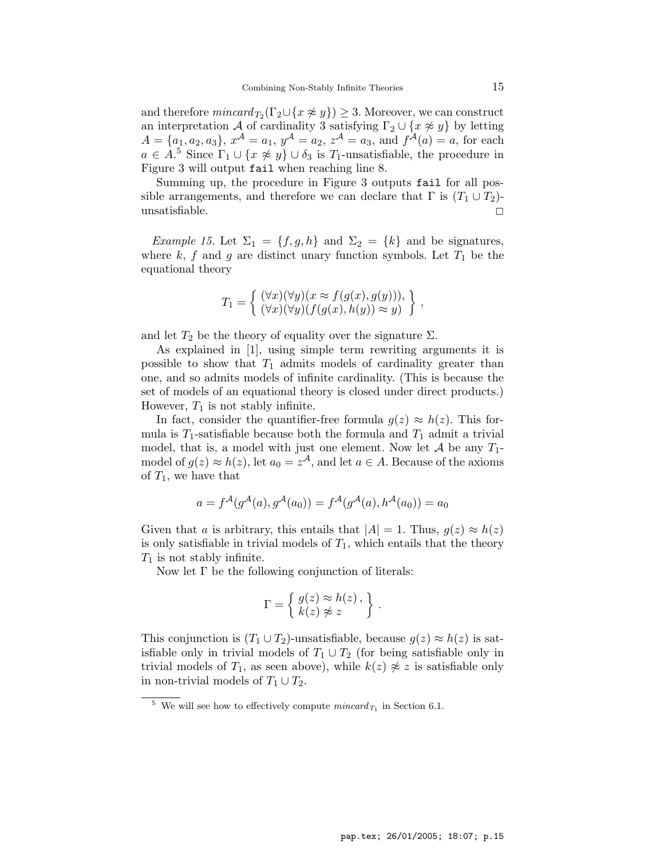and therefore  $mincard_{T_2}(\Gamma_2 \cup \{x \not\approx y\}) \geq 3$ . Moreover, we can construct an interpretation A of cardinality 3 satisfying  $\Gamma_2 \cup \{x \not\approx y\}$  by letting  $A = \{a_1, a_2, a_3\}, x^{\mathcal{A}} = a_1, y^{\mathcal{A}} = a_2, z^{\mathcal{A}} = a_3$ , and  $f^{\mathcal{A}}(a) = a$ , for each  $a \in A$ <sup>5</sup> Since  $\Gamma_1 \cup \{x \not\approx y\} \cup \delta_3$  is  $T_1$ -unsatisfiable, the procedure in Figure 3 will output fail when reaching line 8.

Summing up, the procedure in Figure 3 outputs fail for all possible arrangements, and therefore we can declare that  $\Gamma$  is  $(T_1 \cup T_2)$ unsatisfiable.  $\Box$ 

Example 15. Let  $\Sigma_1 = \{f, g, h\}$  and  $\Sigma_2 = \{k\}$  and be signatures, where  $k, f$  and  $g$  are distinct unary function symbols. Let  $T_1$  be the equational theory

$$
T_1 = \left\{ \begin{array}{l} (\forall x)(\forall y)(x \approx f(g(x), g(y))), \\ (\forall x)(\forall y)(f(g(x), h(y)) \approx y) \end{array} \right\},\,
$$

and let  $T_2$  be the theory of equality over the signature  $\Sigma$ .

As explained in [1], using simple term rewriting arguments it is possible to show that  $T_1$  admits models of cardinality greater than one, and so admits models of infinite cardinality. (This is because the set of models of an equational theory is closed under direct products.) However,  $T_1$  is not stably infinite.

In fact, consider the quantifier-free formula  $g(z) \approx h(z)$ . This formula is  $T_1$ -satisfiable because both the formula and  $T_1$  admit a trivial model, that is, a model with just one element. Now let  $A$  be any  $T_1$ model of  $g(z) \approx h(z)$ , let  $a_0 = z^{\mathcal{A}}$ , and let  $a \in A$ . Because of the axioms of  $T_1$ , we have that

$$
a = f^{\mathcal{A}}(g^{\mathcal{A}}(a), g^{\mathcal{A}}(a_0)) = f^{\mathcal{A}}(g^{\mathcal{A}}(a), h^{\mathcal{A}}(a_0)) = a_0
$$

Given that a is arbitrary, this entails that  $|A| = 1$ . Thus,  $g(z) \approx h(z)$ is only satisfiable in trivial models of  $T_1$ , which entails that the theory  $T_1$  is not stably infinite.

Now let  $\Gamma$  be the following conjunction of literals:

$$
\Gamma = \left\{ \begin{array}{l} g(z) \approx h(z) \,, \\ k(z) \not\approx z \end{array} \right\} \,.
$$

This conjunction is  $(T_1 \cup T_2)$ -unsatisfiable, because  $g(z) \approx h(z)$  is satisfiable only in trivial models of  $T_1 \cup T_2$  (for being satisfiable only in trivial models of  $T_1$ , as seen above), while  $k(z) \not\approx z$  is satisfiable only in non-trivial models of  $T_1 \cup T_2$ .

<sup>&</sup>lt;sup>5</sup> We will see how to effectively compute  $mincard_{T_1}$  in Section 6.1.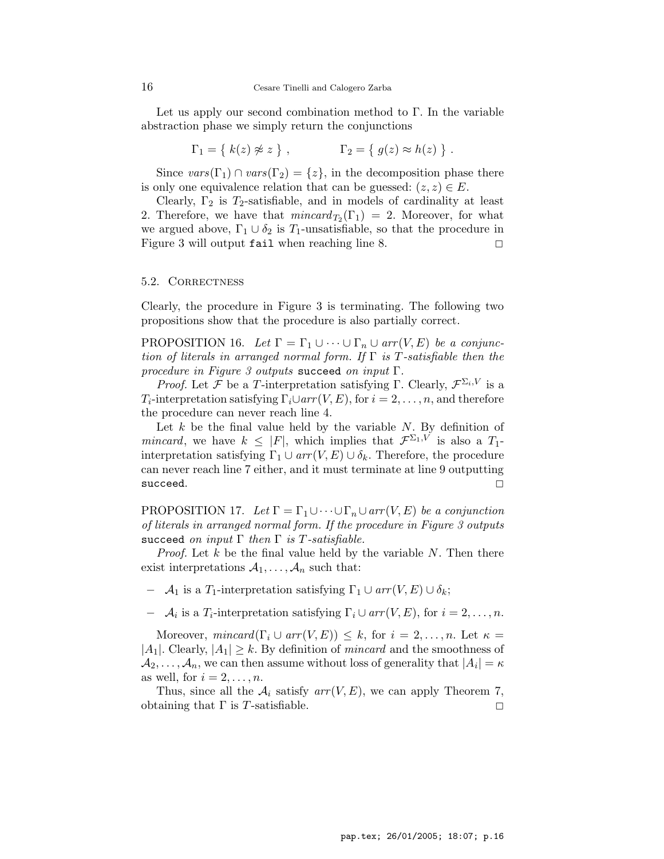Let us apply our second combination method to  $\Gamma$ . In the variable abstraction phase we simply return the conjunctions

$$
\Gamma_1 = \{ k(z) \not\approx z \}, \qquad \Gamma_2 = \{ g(z) \approx h(z) \} .
$$

Since  $vars(\Gamma_1) \cap vars(\Gamma_2) = \{z\}$ , in the decomposition phase there is only one equivalence relation that can be guessed:  $(z, z) \in E$ .

Clearly,  $\Gamma_2$  is  $T_2$ -satisfiable, and in models of cardinality at least 2. Therefore, we have that  $mincard_{T_2}(\Gamma_1) = 2$ . Moreover, for what we argued above,  $\Gamma_1 \cup \delta_2$  is  $T_1$ -unsatisfiable, so that the procedure in Figure 3 will output  $fail$  when reaching line 8.

#### 5.2. Correctness

Clearly, the procedure in Figure 3 is terminating. The following two propositions show that the procedure is also partially correct.

PROPOSITION 16. Let  $\Gamma = \Gamma_1 \cup \cdots \cup \Gamma_n \cup arr(V, E)$  be a conjunction of literals in arranged normal form. If  $\Gamma$  is T-satisfiable then the procedure in Figure 3 outputs succeed on input  $\Gamma$ .

*Proof.* Let F be a T-interpretation satisfying  $\Gamma$ . Clearly,  $\mathcal{F}^{\Sigma_i, V}$  is a  $T_i$ -interpretation satisfying  $\Gamma_i \cup arr(V, E)$ , for  $i = 2, \ldots, n$ , and therefore the procedure can never reach line 4.

Let  $k$  be the final value held by the variable  $N$ . By definition of mincard, we have  $k \leq |F|$ , which implies that  $\mathcal{F}^{\Sigma_1,V}$  is also a  $T_1$ interpretation satisfying  $\Gamma_1 \cup arr(V, E) \cup \delta_k$ . Therefore, the procedure can never reach line 7 either, and it must terminate at line 9 outputting  $\Box$ succeed.  $\Box$ 

PROPOSITION 17. Let  $\Gamma = \Gamma_1 \cup \cdots \cup \Gamma_n \cup arr(V, E)$  be a conjunction of literals in arranged normal form. If the procedure in Figure 3 outputs succeed on input  $\Gamma$  then  $\Gamma$  is T-satisfiable.

*Proof.* Let  $k$  be the final value held by the variable  $N$ . Then there exist interpretations  $A_1, \ldots, A_n$  such that:

 $-$  A<sub>1</sub> is a T<sub>1</sub>-interpretation satisfying  $\Gamma_1 \cup arr(V, E) \cup \delta_k$ ;

 $\mathcal{A}_i$  is a  $T_i$ -interpretation satisfying  $\Gamma_i \cup arr(V, E)$ , for  $i = 2, \ldots, n$ .

Moreover,  $mincard(\Gamma_i \cup arr(V, E)) \leq k$ , for  $i = 2, ..., n$ . Let  $\kappa =$  $|A_1|$ . Clearly,  $|A_1| \geq k$ . By definition of *mincard* and the smoothness of  $\mathcal{A}_2, \ldots, \mathcal{A}_n$ , we can then assume without loss of generality that  $|A_i| = \kappa$ as well, for  $i = 2, \ldots, n$ .

Thus, since all the  $A_i$  satisfy  $arr(V, E)$ , we can apply Theorem 7, obtaining that  $\Gamma$  is T-satisfiable.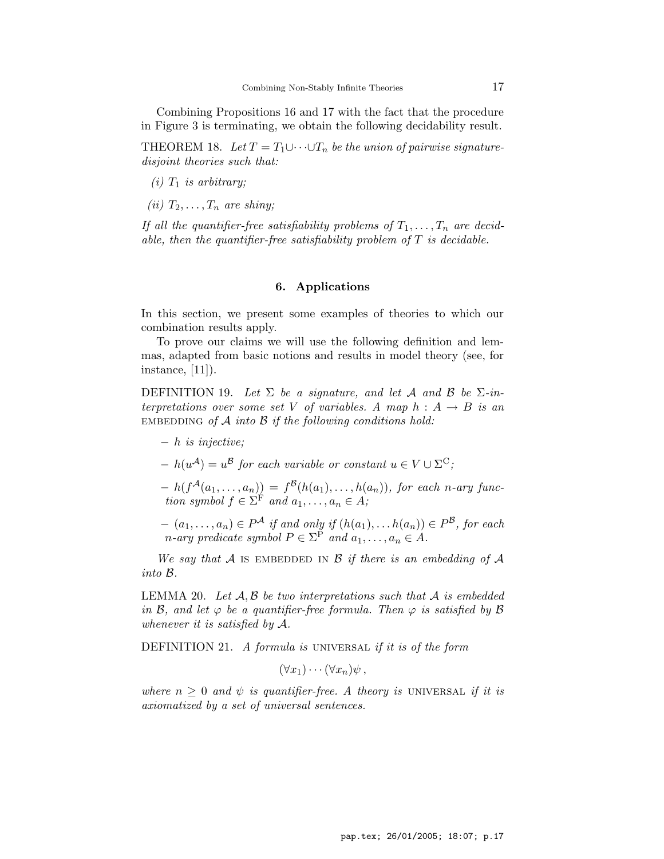Combining Propositions 16 and 17 with the fact that the procedure in Figure 3 is terminating, we obtain the following decidability result.

THEOREM 18. Let  $T = T_1 \cup \cdots \cup T_n$  be the union of pairwise signaturedisjoint theories such that:

- $(i)$   $T_1$  is arbitrary;
- (ii)  $T_2, \ldots, T_n$  are shiny;

If all the quantifier-free satisfiability problems of  $T_1, \ldots, T_n$  are decidable, then the quantifier-free satisfiability problem of  $T$  is decidable.

## 6. Applications

In this section, we present some examples of theories to which our combination results apply.

To prove our claims we will use the following definition and lemmas, adapted from basic notions and results in model theory (see, for instance, [11]).

DEFINITION 19. Let  $\Sigma$  be a signature, and let A and B be  $\Sigma$ -interpretations over some set V of variables. A map  $h : A \rightarrow B$  is an EMBEDDING of  $A$  into  $B$  if the following conditions hold:

- − h is injective;
- $h(u^{\mathcal{A}}) = u^{\mathcal{B}}$  for each variable or constant  $u \in V \cup \Sigma^{\mathcal{C}}$ ;
- $h(f^{\mathcal{A}}(a_1,\ldots,a_n)) = f^{\mathcal{B}}(h(a_1),\ldots,h(a_n)),$  for each n-ary function symbol  $f \in \Sigma^F$  and  $a_1, \ldots, a_n \in A$ ;
- $(a_1, \ldots, a_n) \in P^{\mathcal{A}}$  if and only if  $(h(a_1), \ldots, h(a_n)) \in P^{\mathcal{B}}$ , for each *n*-ary predicate symbol  $P \in \Sigma^{\mathcal{P}}$  and  $a_1, \ldots, a_n \in A$ .

We say that A is EMBEDDED IN B if there is an embedding of A into B.

LEMMA 20. Let  $A, B$  be two interpretations such that  $A$  is embedded in  $\mathcal{B}$ , and let  $\varphi$  be a quantifier-free formula. Then  $\varphi$  is satisfied by  $\mathcal{B}$ whenever it is satisfied by A.

DEFINITION 21. A formula is UNIVERSAL if it is of the form

 $(\forall x_1)\cdots(\forall x_n)\psi$ ,

where  $n \geq 0$  and  $\psi$  is quantifier-free. A theory is UNIVERSAL if it is axiomatized by a set of universal sentences.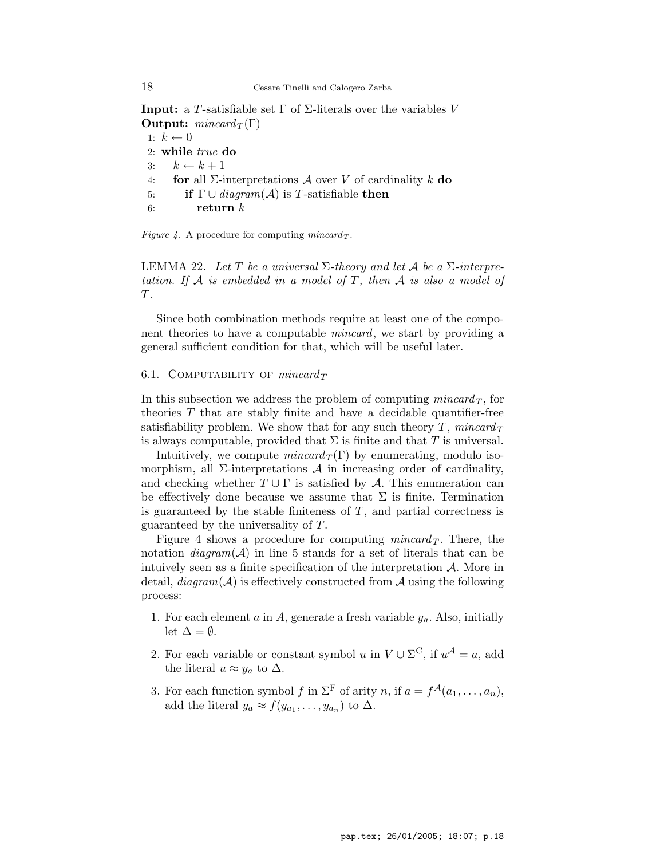**Input:** a T-satisfiable set Γ of Σ-literals over the variables V **Output:**  $mincard_T(\Gamma)$ 

1:  $k \leftarrow 0$ 2: while true do 3:  $k \leftarrow k + 1$ 4: for all  $\Sigma$ -interpretations A over V of cardinality k do 5: if  $\Gamma \cup \text{diagram}(\mathcal{A})$  is T-satisfiable then 6: return  $k$ 

Figure 4. A procedure for computing  $mincard_T$ .

LEMMA 22. Let T be a universal  $\Sigma$ -theory and let A be a  $\Sigma$ -interpretation. If  $A$  is embedded in a model of  $T$ , then  $A$  is also a model of T.

Since both combination methods require at least one of the component theories to have a computable *mincard*, we start by providing a general sufficient condition for that, which will be useful later.

#### 6.1. COMPUTABILITY OF  $mincard_T$

In this subsection we address the problem of computing *mincard*  $_T$ , for theories  $T$  that are stably finite and have a decidable quantifier-free satisfiability problem. We show that for any such theory  $T$ , mincard  $T$ is always computable, provided that  $\Sigma$  is finite and that T is universal.

Intuitively, we compute  $mincard_T(\Gamma)$  by enumerating, modulo isomorphism, all  $\Sigma$ -interpretations  $\mathcal A$  in increasing order of cardinality, and checking whether  $T \cup \Gamma$  is satisfied by A. This enumeration can be effectively done because we assume that  $\Sigma$  is finite. Termination is guaranteed by the stable finiteness of  $T$ , and partial correctness is guaranteed by the universality of T.

Figure 4 shows a procedure for computing *mincard*  $\tau$ . There, the notation  $diagram(\mathcal{A})$  in line 5 stands for a set of literals that can be intuively seen as a finite specification of the interpretation  $A$ . More in detail,  $diagram(\mathcal{A})$  is effectively constructed from  $\mathcal{A}$  using the following process:

- 1. For each element a in A, generate a fresh variable  $y_a$ . Also, initially let  $\Delta = \emptyset$ .
- 2. For each variable or constant symbol u in  $V \cup \Sigma^C$ , if  $u^{\mathcal{A}} = a$ , add the literal  $u \approx y_a$  to  $\Delta$ .
- 3. For each function symbol f in  $\Sigma^{\mathrm{F}}$  of arity n, if  $a = f^{\mathcal{A}}(a_1, \ldots, a_n)$ , add the literal  $y_a \approx f(y_{a_1}, \ldots, y_{a_n})$  to  $\Delta$ .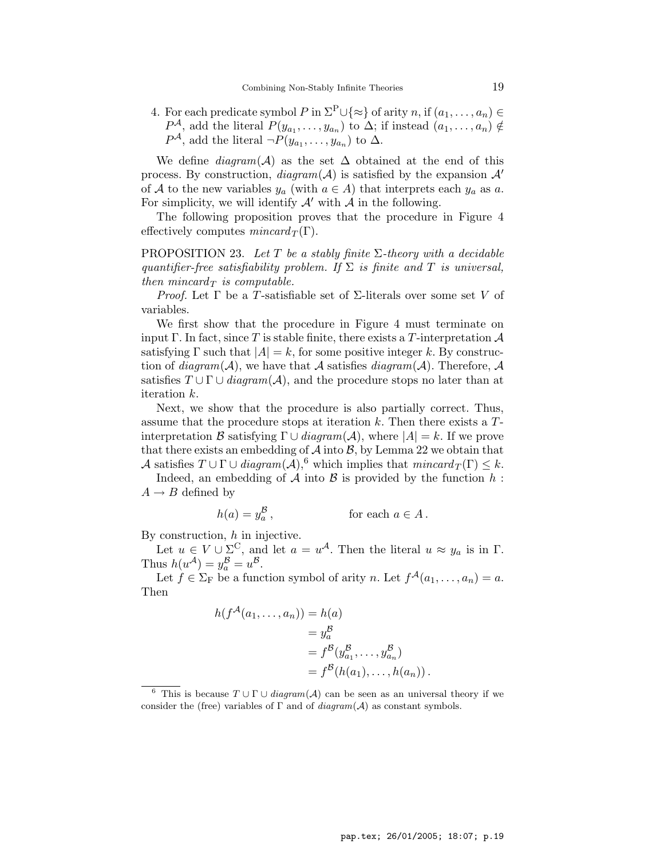4. For each predicate symbol P in  $\Sigma^{\mathcal{P}} \cup \{\approx\}$  of arity  $n$ , if  $(a_1, \ldots, a_n) \in$  $P^{\mathcal{A}}$ , add the literal  $P(y_{a_1},...,y_{a_n})$  to  $\Delta$ ; if instead  $(a_1,...,a_n) \notin$  $P^{\mathcal{A}}$ , add the literal  $\neg P(y_{a_1}, \ldots, y_{a_n})$  to  $\Delta$ .

We define  $diagram(\mathcal{A})$  as the set  $\Delta$  obtained at the end of this process. By construction,  $diagram(\mathcal{A})$  is satisfied by the expansion  $\mathcal{A}'$ of A to the new variables  $y_a$  (with  $a \in A$ ) that interprets each  $y_a$  as a. For simplicity, we will identify  $\mathcal{A}'$  with  $\mathcal{A}$  in the following.

The following proposition proves that the procedure in Figure 4 effectively computes  $mincard_T(\Gamma)$ .

PROPOSITION 23. Let T be a stably finite  $\Sigma$ -theory with a decidable quantifier-free satisfiability problem. If  $\Sigma$  is finite and T is universal, then mincard $_T$  is computable.

*Proof.* Let  $\Gamma$  be a T-satisfiable set of  $\Sigma$ -literals over some set V of variables.

We first show that the procedure in Figure 4 must terminate on input Γ. In fact, since T is stable finite, there exists a T-interpretation  $\mathcal A$ satisfying  $\Gamma$  such that  $|A| = k$ , for some positive integer k. By construction of  $diagram(\mathcal{A})$ , we have that  $\mathcal A$  satisfies  $diagram(\mathcal{A})$ . Therefore,  $\mathcal A$ satisfies  $T \cup \Gamma \cup diagram(\mathcal{A})$ , and the procedure stops no later than at iteration k.

Next, we show that the procedure is also partially correct. Thus, assume that the procedure stops at iteration  $k$ . Then there exists a  $T$ interpretation B satisfying  $\Gamma \cup \text{diagram}(\mathcal{A})$ , where  $|A| = k$ . If we prove that there exists an embedding of  $A$  into  $B$ , by Lemma 22 we obtain that A satisfies  $T \cup \Gamma \cup \text{diagram}(\mathcal{A})$ , which implies that  $\text{mincard}_T(\Gamma) \leq k$ .

Indeed, an embedding of  $A$  into  $B$  is provided by the function  $h$ :  $A \rightarrow B$  defined by

$$
h(a) = y_a^{\mathcal{B}}, \qquad \text{for each } a \in A.
$$

By construction,  $h$  in injective.

Let  $u \in V \cup \Sigma^C$ , and let  $a = u^{\mathcal{A}}$ . Then the literal  $u \approx y_a$  is in  $\Gamma$ . Thus  $h(u^{\mathcal{A}}) = y_a^{\mathcal{B}} = u^{\mathcal{B}}$ .

Let  $f \in \Sigma_F$  be a function symbol of arity n. Let  $f^{\mathcal{A}}(a_1, \ldots, a_n) = a$ . Then

$$
h(f^{\mathcal{A}}(a_1, ..., a_n)) = h(a)
$$
  
=  $y_a^{\mathcal{B}}$   
=  $f^{\mathcal{B}}(y_{a_1}^{\mathcal{B}}, ..., y_{a_n}^{\mathcal{B}})$   
=  $f^{\mathcal{B}}(h(a_1), ..., h(a_n)).$ 

<sup>6</sup> This is because  $T \cup \Gamma \cup \text{diagram}(\mathcal{A})$  can be seen as an universal theory if we consider the (free) variables of  $\Gamma$  and of  $diagram(\mathcal{A})$  as constant symbols.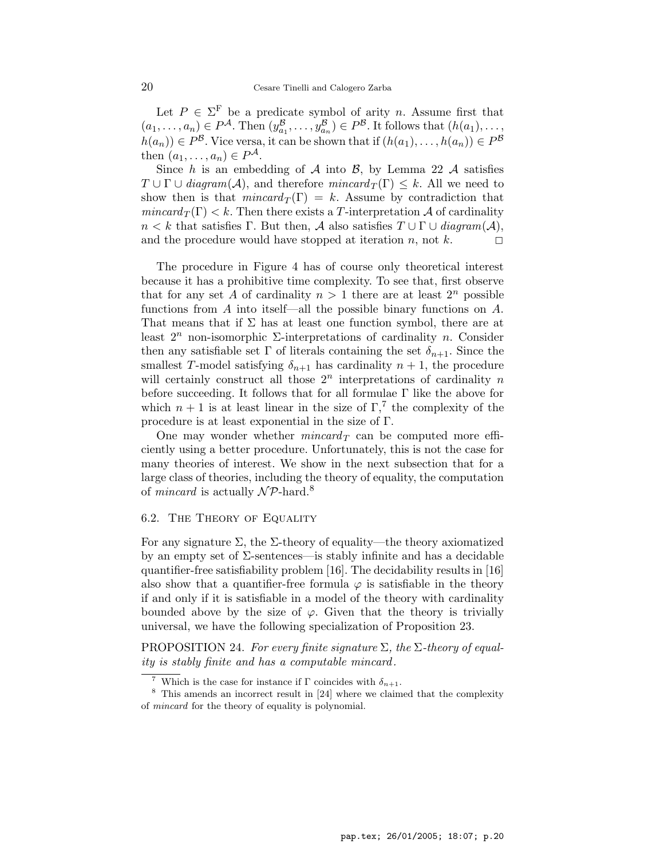Let  $P \in \Sigma^{\mathrm{F}}$  be a predicate symbol of arity n. Assume first that  $(a_1, \ldots, a_n) \in P^{\mathcal{A}}$ . Then  $(y_{a_1}^{\mathcal{B}}, \ldots, y_{a_n}^{\mathcal{B}}) \in P^{\mathcal{B}}$ . It follows that  $(h(a_1), \ldots,$  $h(a_n) \in P^{\mathcal{B}}$ . Vice versa, it can be shown that if  $(h(a_1), \ldots, h(a_n)) \in P^{\mathcal{B}}$ then  $(a_1, \ldots, a_n) \in P^{\mathcal{A}}$ .

Since h is an embedding of A into B, by Lemma 22 A satisfies  $T \cup \Gamma \cup diagram(\mathcal{A})$ , and therefore  $mincard_T(\Gamma) \leq k$ . All we need to show then is that  $mincard_T(\Gamma) = k$ . Assume by contradiction that  $mincard_T(\Gamma) < k$ . Then there exists a T-interpretation A of cardinality  $n < k$  that satisfies Γ. But then, A also satisfies  $T \cup \Gamma \cup \text{diagram}(\mathcal{A}),$ and the procedure would have stopped at iteration n, not k.  $\Box$ 

The procedure in Figure 4 has of course only theoretical interest because it has a prohibitive time complexity. To see that, first observe that for any set A of cardinality  $n > 1$  there are at least  $2^n$  possible functions from A into itself—all the possible binary functions on  $A$ . That means that if  $\Sigma$  has at least one function symbol, there are at least  $2^n$  non-isomorphic  $\Sigma$ -interpretations of cardinality n. Consider then any satisfiable set  $\Gamma$  of literals containing the set  $\delta_{n+1}$ . Since the smallest T-model satisfying  $\delta_{n+1}$  has cardinality  $n+1$ , the procedure will certainly construct all those  $2^n$  interpretations of cardinality n before succeeding. It follows that for all formulae Γ like the above for which  $n + 1$  is at least linear in the size of  $\Gamma$ ,<sup>7</sup> the complexity of the procedure is at least exponential in the size of Γ.

One may wonder whether  $mincard_T$  can be computed more efficiently using a better procedure. Unfortunately, this is not the case for many theories of interest. We show in the next subsection that for a large class of theories, including the theory of equality, the computation of *mincard* is actually  $\mathcal{NP}$ -hard.<sup>8</sup>

## 6.2. The Theory of Equality

For any signature  $\Sigma$ , the  $\Sigma$ -theory of equality—the theory axiomatized by an empty set of Σ-sentences—is stably infinite and has a decidable quantifier-free satisfiability problem [16]. The decidability results in [16] also show that a quantifier-free formula  $\varphi$  is satisfiable in the theory if and only if it is satisfiable in a model of the theory with cardinality bounded above by the size of  $\varphi$ . Given that the theory is trivially universal, we have the following specialization of Proposition 23.

PROPOSITION 24. For every finite signature  $\Sigma$ , the  $\Sigma$ -theory of equality is stably finite and has a computable mincard.

<sup>&</sup>lt;sup>7</sup> Which is the case for instance if  $\Gamma$  coincides with  $\delta_{n+1}$ .

<sup>8</sup> This amends an incorrect result in [24] where we claimed that the complexity of mincard for the theory of equality is polynomial.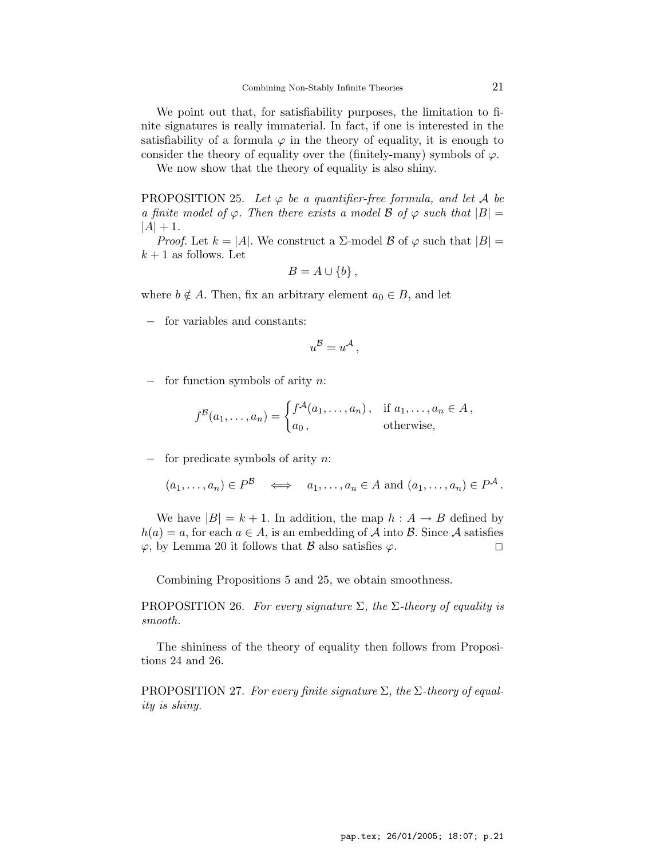We point out that, for satisfiability purposes, the limitation to finite signatures is really immaterial. In fact, if one is interested in the satisfiability of a formula  $\varphi$  in the theory of equality, it is enough to consider the theory of equality over the (finitely-many) symbols of  $\varphi$ .

We now show that the theory of equality is also shiny.

PROPOSITION 25. Let  $\varphi$  be a quantifier-free formula, and let A be a finite model of  $\varphi$ . Then there exists a model  $\beta$  of  $\varphi$  such that  $|B| =$  $|A| + 1.$ 

*Proof.* Let  $k = |A|$ . We construct a  $\Sigma$ -model  $\beta$  of  $\varphi$  such that  $|B|$  =  $k+1$  as follows. Let

$$
B=A\cup\{b\}\,,
$$

where  $b \notin A$ . Then, fix an arbitrary element  $a_0 \in B$ , and let

for variables and constants:

$$
u^{\mathcal{B}} = u^{\mathcal{A}},
$$

− for function symbols of arity n:

$$
f^{B}(a_1,\ldots,a_n) = \begin{cases} f^{\mathcal{A}}(a_1,\ldots,a_n), & \text{if } a_1,\ldots,a_n \in A, \\ a_0, & \text{otherwise,} \end{cases}
$$

− for predicate symbols of arity n:

$$
(a_1, \ldots, a_n) \in P^{\mathcal{B}} \iff a_1, \ldots, a_n \in A \text{ and } (a_1, \ldots, a_n) \in P^{\mathcal{A}}.
$$

We have  $|B| = k + 1$ . In addition, the map  $h : A \rightarrow B$  defined by  $h(a) = a$ , for each  $a \in A$ , is an embedding of A into B. Since A satisfies  $\varphi$ , by Lemma 20 it follows that  $\beta$  also satisfies  $\varphi$ .

Combining Propositions 5 and 25, we obtain smoothness.

PROPOSITION 26. For every signature  $\Sigma$ , the  $\Sigma$ -theory of equality is smooth.

The shininess of the theory of equality then follows from Propositions 24 and 26.

PROPOSITION 27. For every finite signature  $\Sigma$ , the  $\Sigma$ -theory of equality is shiny.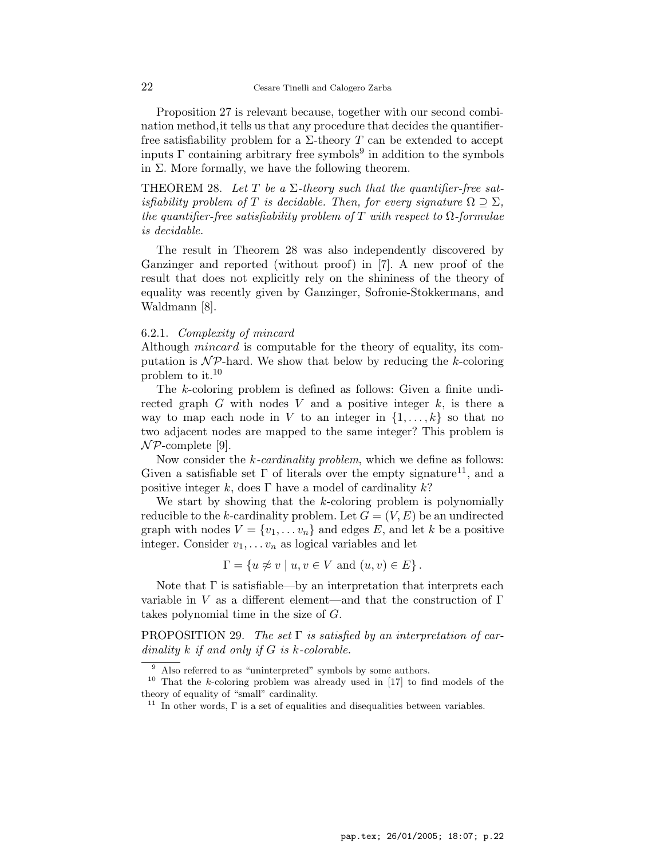Proposition 27 is relevant because, together with our second combination method,it tells us that any procedure that decides the quantifierfree satisfiability problem for a  $\Sigma$ -theory T can be extended to accept inputs  $\Gamma$  containing arbitrary free symbols<sup>9</sup> in addition to the symbols in  $\Sigma$ . More formally, we have the following theorem.

THEOREM 28. Let T be a  $\Sigma$ -theory such that the quantifier-free satisfiability problem of T is decidable. Then, for every signature  $\Omega \supseteq \Sigma$ , the quantifier-free satisfiability problem of T with respect to  $\Omega$ -formulae is decidable.

The result in Theorem 28 was also independently discovered by Ganzinger and reported (without proof) in [7]. A new proof of the result that does not explicitly rely on the shininess of the theory of equality was recently given by Ganzinger, Sofronie-Stokkermans, and Waldmann [8].

## 6.2.1. Complexity of mincard

Although *mincard* is computable for the theory of equality, its computation is  $\mathcal{NP}$ -hard. We show that below by reducing the k-coloring problem to it.<sup>10</sup>

The k-coloring problem is defined as follows: Given a finite undirected graph G with nodes V and a positive integer  $k$ , is there a way to map each node in V to an integer in  $\{1, \ldots, k\}$  so that no two adjacent nodes are mapped to the same integer? This problem is  $\mathcal{NP}$ -complete [9].

Now consider the *k*-cardinality problem, which we define as follows: Given a satisfiable set  $\Gamma$  of literals over the empty signature<sup>11</sup>, and a positive integer k, does Γ have a model of cardinality  $k$ ?

We start by showing that the  $k$ -coloring problem is polynomially reducible to the k-cardinality problem. Let  $G = (V, E)$  be an undirected graph with nodes  $V = \{v_1, \ldots v_n\}$  and edges E, and let k be a positive integer. Consider  $v_1, \ldots v_n$  as logical variables and let

 $\Gamma = \{u \not\approx v \mid u, v \in V \text{ and } (u, v) \in E\}.$ 

Note that  $\Gamma$  is satisfiable—by an interpretation that interprets each variable in V as a different element—and that the construction of  $\Gamma$ takes polynomial time in the size of G.

PROPOSITION 29. The set  $\Gamma$  is satisfied by an interpretation of cardinality  $k$  if and only if  $G$  is  $k$ -colorable.

<sup>&</sup>lt;sup>9</sup> Also referred to as "uninterpreted" symbols by some authors.

<sup>&</sup>lt;sup>10</sup> That the *k*-coloring problem was already used in  $[17]$  to find models of the theory of equality of "small" cardinality.

<sup>&</sup>lt;sup>11</sup> In other words,  $\Gamma$  is a set of equalities and disequalities between variables.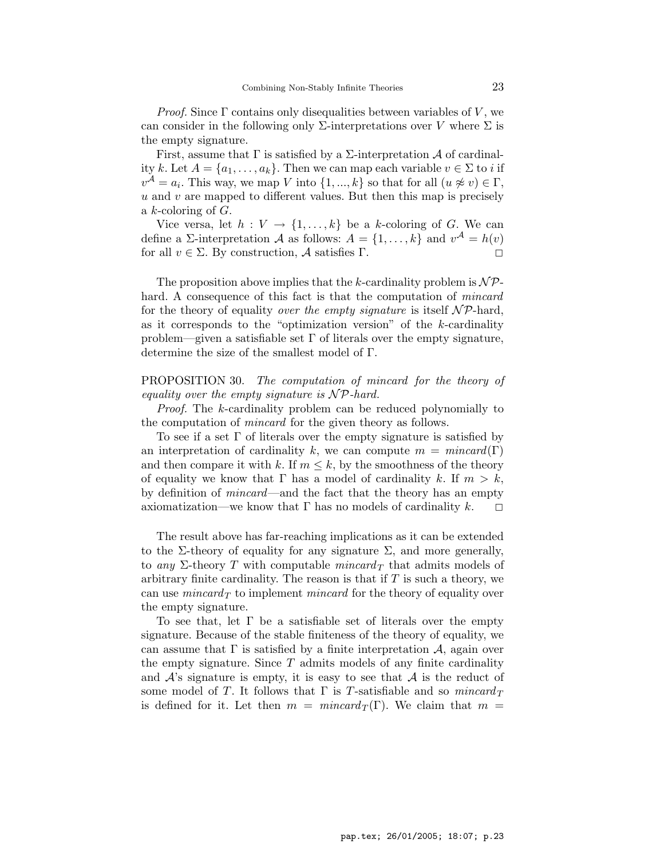*Proof.* Since  $\Gamma$  contains only disequalities between variables of V, we can consider in the following only  $\Sigma$ -interpretations over V where  $\Sigma$  is the empty signature.

First, assume that  $\Gamma$  is satisfied by a  $\Sigma$ -interpretation  $\mathcal A$  of cardinality k. Let  $A = \{a_1, \ldots, a_k\}$ . Then we can map each variable  $v \in \Sigma$  to i if  $v^{\mathcal{A}} = a_i$ . This way, we map V into  $\{1, ..., k\}$  so that for all  $(u \not\approx v) \in \Gamma$ ,  $u$  and  $v$  are mapped to different values. But then this map is precisely a  $k$ -coloring of  $G$ .

Vice versa, let  $h: V \to \{1, \ldots, k\}$  be a k-coloring of G. We can define a  $\Sigma$ -interpretation  $\mathcal A$  as follows:  $A = \{1, \ldots, k\}$  and  $v^{\mathcal A} = h(v)$ for all  $v \in \Sigma$ . By construction,  $\mathcal A$  satisfies  $\Gamma$ .

The proposition above implies that the k-cardinality problem is  $\mathcal{NP}$ hard. A consequence of this fact is that the computation of *mincard* for the theory of equality over the empty signature is itself  $\mathcal{NP}$ -hard, as it corresponds to the "optimization version" of the k-cardinality problem—given a satisfiable set  $\Gamma$  of literals over the empty signature, determine the size of the smallest model of Γ.

PROPOSITION 30. The computation of mincard for the theory of equality over the empty signature is  $\mathcal{NP}$ -hard.

Proof. The k-cardinality problem can be reduced polynomially to the computation of mincard for the given theory as follows.

To see if a set Γ of literals over the empty signature is satisfied by an interpretation of cardinality k, we can compute  $m = mincard(\Gamma)$ and then compare it with k. If  $m \leq k$ , by the smoothness of the theory of equality we know that  $\Gamma$  has a model of cardinality k. If  $m > k$ , by definition of mincard—and the fact that the theory has an empty axiomatization—we know that  $\Gamma$  has no models of cardinality  $k$ .  $\Box$ 

The result above has far-reaching implications as it can be extended to the Σ-theory of equality for any signature  $\Sigma$ , and more generally, to any  $\Sigma$ -theory T with computable mincard<sub>T</sub> that admits models of arbitrary finite cardinality. The reason is that if  $T$  is such a theory, we can use *mincard*  $_T$  to implement *mincard* for the theory of equality over the empty signature.

To see that, let  $\Gamma$  be a satisfiable set of literals over the empty signature. Because of the stable finiteness of the theory of equality, we can assume that  $\Gamma$  is satisfied by a finite interpretation  $\mathcal{A}$ , again over the empty signature. Since  $T$  admits models of any finite cardinality and  $A$ 's signature is empty, it is easy to see that  $A$  is the reduct of some model of T. It follows that  $\Gamma$  is T-satisfiable and so  $mincard_T$ is defined for it. Let then  $m = mincard_T(\Gamma)$ . We claim that  $m =$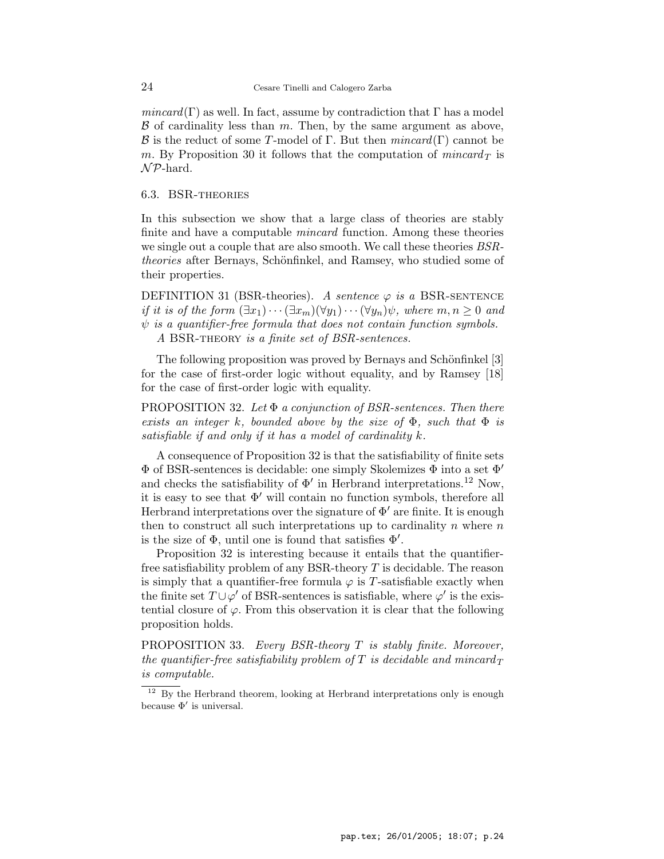$mincard(\Gamma)$  as well. In fact, assume by contradiction that  $\Gamma$  has a model  $\beta$  of cardinality less than m. Then, by the same argument as above, **B** is the reduct of some T-model of Γ. But then  $mincard(\Gamma)$  cannot be m. By Proposition 30 it follows that the computation of  $mincard_T$  is  $\mathcal{NP}$ -hard.

## 6.3. BSR-theories

In this subsection we show that a large class of theories are stably finite and have a computable *mincard* function. Among these theories we single out a couple that are also smooth. We call these theories *BSRtheories* after Bernays, Schönfinkel, and Ramsey, who studied some of their properties.

DEFINITION 31 (BSR-theories). A sentence  $\varphi$  is a BSR-SENTENCE if it is of the form  $(\exists x_1)\cdots(\exists x_m)(\forall y_1)\cdots(\forall y_n)\psi$ , where  $m, n \geq 0$  and  $\psi$  is a quantifier-free formula that does not contain function symbols. A BSR-theory is a finite set of BSR-sentences.

The following proposition was proved by Bernays and Schönfinkel [3] for the case of first-order logic without equality, and by Ramsey [18] for the case of first-order logic with equality.

PROPOSITION 32. Let  $\Phi$  a conjunction of BSR-sentences. Then there exists an integer k, bounded above by the size of  $\Phi$ , such that  $\Phi$  is satisfiable if and only if it has a model of cardinality k.

A consequence of Proposition 32 is that the satisfiability of finite sets  $\Phi$  of BSR-sentences is decidable: one simply Skolemizes  $\Phi$  into a set  $\Phi'$ and checks the satisfiability of  $\Phi'$  in Herbrand interpretations.<sup>12</sup> Now, it is easy to see that  $\Phi'$  will contain no function symbols, therefore all Herbrand interpretations over the signature of  $\Phi'$  are finite. It is enough then to construct all such interpretations up to cardinality  $n$  where  $n$ is the size of  $\Phi$ , until one is found that satisfies  $\Phi'$ .

Proposition 32 is interesting because it entails that the quantifierfree satisfiability problem of any BSR-theory  $T$  is decidable. The reason is simply that a quantifier-free formula  $\varphi$  is T-satisfiable exactly when the finite set  $T \cup \varphi'$  of BSR-sentences is satisfiable, where  $\varphi'$  is the existential closure of  $\varphi$ . From this observation it is clear that the following proposition holds.

PROPOSITION 33. Every BSR-theory  $T$  is stably finite. Moreover, the quantifier-free satisfiability problem of T is decidable and mincard  $_T$ is computable.

 $12$  By the Herbrand theorem, looking at Herbrand interpretations only is enough because  $\Phi'$  is universal.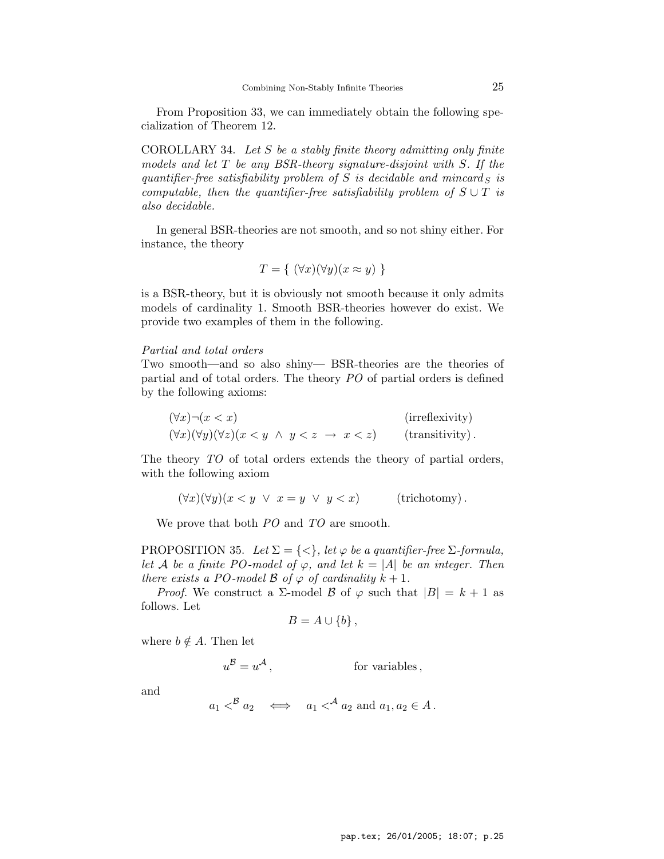From Proposition 33, we can immediately obtain the following specialization of Theorem 12.

COROLLARY 34. Let  $S$  be a stably finite theory admitting only finite models and let  $T$  be any BSR-theory signature-disjoint with  $S$ . If the quantifier-free satisfiability problem of S is decidable and mincard  $\overline{S}$  is computable, then the quantifier-free satisfiability problem of  $S \cup T$  is also decidable.

In general BSR-theories are not smooth, and so not shiny either. For instance, the theory

$$
T = \{ (\forall x)(\forall y)(x \approx y) \}
$$

is a BSR-theory, but it is obviously not smooth because it only admits models of cardinality 1. Smooth BSR-theories however do exist. We provide two examples of them in the following.

#### Partial and total orders

Two smooth—and so also shiny— BSR-theories are the theories of partial and of total orders. The theory PO of partial orders is defined by the following axioms:

$$
(\forall x) \neg (x < x) \qquad \qquad \text{(irreflexivity)}
$$
\n
$$
(\forall x) (\forall y) (\forall z) (x < y \land y < z \rightarrow x < z) \qquad \text{(transitivity)}.
$$

The theory TO of total orders extends the theory of partial orders, with the following axiom

$$
(\forall x)(\forall y)(x < y \lor x = y \lor y < x) \qquad \text{(trichotomy)}.
$$

We prove that both PO and TO are smooth.

PROPOSITION 35. Let  $\Sigma = \{ \langle \rangle \}$ , let  $\varphi$  be a quantifier-free  $\Sigma$ -formula, let A be a finite PO-model of  $\varphi$ , and let  $k = |A|$  be an integer. Then there exists a PO-model B of  $\varphi$  of cardinality  $k+1$ .

*Proof.* We construct a  $\Sigma$ -model  $\beta$  of  $\varphi$  such that  $|B| = k + 1$  as follows. Let

$$
B=A\cup\{b\}\,,
$$

where  $b \notin A$ . Then let

 $u^{\mathcal{B}}=u$ for variables,

and

$$
a_1 \leq^B a_2 \iff a_1 \leq^A a_2 \text{ and } a_1, a_2 \in A.
$$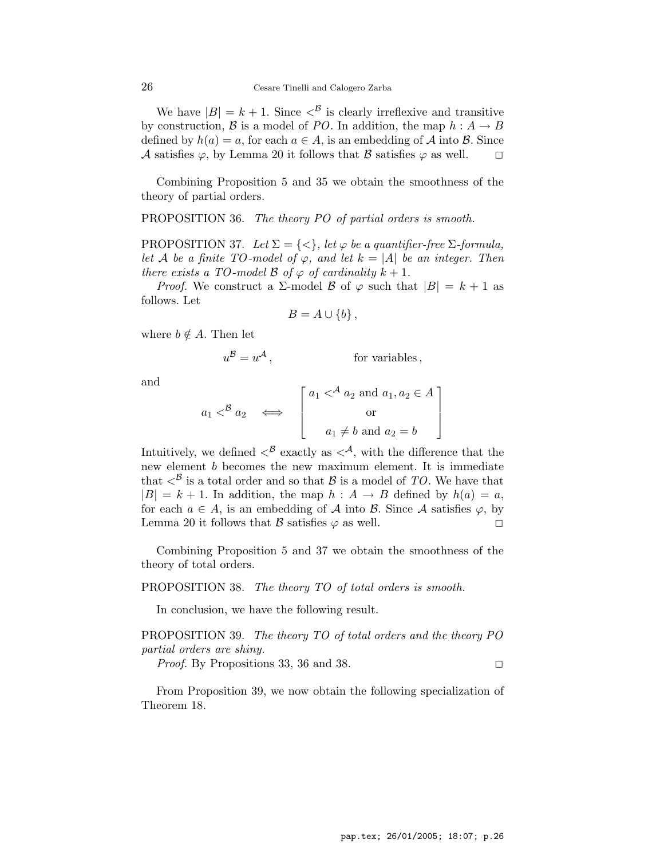We have  $|B| = k + 1$ . Since  $\langle B \rangle$  is clearly irreflexive and transitive by construction,  $\beta$  is a model of PO. In addition, the map  $h : A \rightarrow B$ defined by  $h(a) = a$ , for each  $a \in A$ , is an embedding of A into B. Since A satisfies  $\varphi$ , by Lemma 20 it follows that B satisfies  $\varphi$  as well.  $\square$ 

Combining Proposition 5 and 35 we obtain the smoothness of the theory of partial orders.

PROPOSITION 36. The theory PO of partial orders is smooth.

PROPOSITION 37. Let  $\Sigma = \{ \langle \rangle \}$ , let  $\varphi$  be a quantifier-free  $\Sigma$ -formula, let A be a finite TO-model of  $\varphi$ , and let  $k = |A|$  be an integer. Then there exists a TO-model  $\beta$  of  $\varphi$  of cardinality  $k+1$ .

*Proof.* We construct a  $\Sigma$ -model  $\beta$  of  $\varphi$  such that  $|B| = k + 1$  as follows. Let

$$
B = A \cup \{b\},\,
$$

where  $b \notin A$ . Then let

$$
u^{\mathcal{B}} = u^{\mathcal{A}}, \qquad \text{for variables,}
$$

and

$$
a_1 B a_2 \iff \begin{bmatrix} a_1 A a_2 \text{ and } a_1, a_2 \in A \\ \text{or} \\ a_1 \neq b \text{ and } a_2 = b \end{bmatrix}
$$

Intuitively, we defined  $\langle B \rangle^B$  exactly as  $\langle A \rangle$ , with the difference that the new element *b* becomes the new maximum element. It is immediate that  $\langle^{\mathcal{B}}\rangle$  is a total order and so that  $\mathcal{B}$  is a model of TO. We have that  $|B| = k + 1$ . In addition, the map  $h : A \rightarrow B$  defined by  $h(a) = a$ , for each  $a \in A$ , is an embedding of A into B. Since A satisfies  $\varphi$ , by Lemma 20 it follows that B satisfies  $\varphi$  as well.

Combining Proposition 5 and 37 we obtain the smoothness of the theory of total orders.

PROPOSITION 38. The theory TO of total orders is smooth.

In conclusion, we have the following result.

PROPOSITION 39. The theory TO of total orders and the theory PO partial orders are shiny.

*Proof.* By Propositions 33, 36 and 38.

From Proposition 39, we now obtain the following specialization of Theorem 18.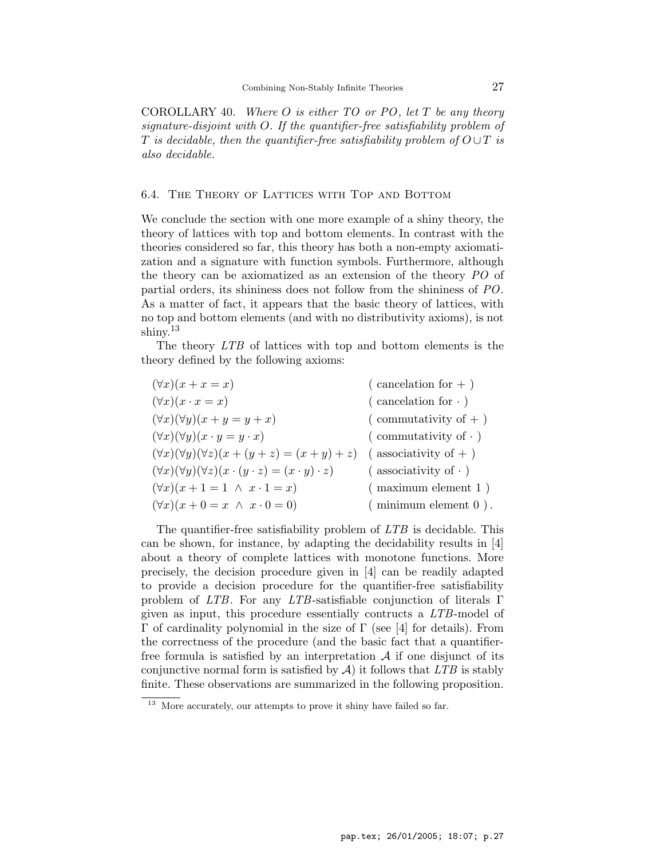COROLLARY 40. Where  $O$  is either  $TO$  or  $PO$ , let  $T$  be any theory signature-disjoint with O. If the quantifier-free satisfiability problem of T is decidable, then the quantifier-free satisfiability problem of  $O \cup T$  is also decidable.

## 6.4. The Theory of Lattices with Top and Bottom

We conclude the section with one more example of a shiny theory, the theory of lattices with top and bottom elements. In contrast with the theories considered so far, this theory has both a non-empty axiomatization and a signature with function symbols. Furthermore, although the theory can be axiomatized as an extension of the theory PO of partial orders, its shininess does not follow from the shininess of PO. As a matter of fact, it appears that the basic theory of lattices, with no top and bottom elements (and with no distributivity axioms), is not shiny. 13

The theory LTB of lattices with top and bottom elements is the theory defined by the following axioms:

| $(\forall x)(x + x = x)$                                                       | $\frac{1}{2}$ cancelation for $+$ ) |
|--------------------------------------------------------------------------------|-------------------------------------|
| $(\forall x)(x \cdot x = x)$                                                   | (cancelation for $\cdot$ )          |
| $(\forall x)(\forall y)(x + y = y + x)$                                        | $\sigma$ commutativity of $+$ )     |
| $(\forall x)(\forall y)(x \cdot y = y \cdot x)$                                | (commutativity of $\cdot$ )         |
| $(\forall x)(\forall y)(\forall z)(x + (y + z) = (x + y) + z)$                 | $($ associativity of $+$ $)$        |
| $(\forall x)(\forall y)(\forall z)(x \cdot (y \cdot z) = (x \cdot y) \cdot z)$ | $($ associativity of $\cdot$ )      |
| $(\forall x)(x+1=1 \ \land \ x\cdot 1=x)$                                      | $($ maximum element 1)              |
| $(\forall x)(x+0=x \land x \cdot 0=0)$                                         | $($ minimum element $0$ ).          |
|                                                                                |                                     |

The quantifier-free satisfiability problem of LTB is decidable. This can be shown, for instance, by adapting the decidability results in [4] about a theory of complete lattices with monotone functions. More precisely, the decision procedure given in [4] can be readily adapted to provide a decision procedure for the quantifier-free satisfiability problem of LTB. For any LTB-satisfiable conjunction of literals Γ given as input, this procedure essentially contructs a LTB-model of Γ of cardinality polynomial in the size of Γ (see [4] for details). From the correctness of the procedure (and the basic fact that a quantifierfree formula is satisfied by an interpretation  $A$  if one disjunct of its conjunctive normal form is satisfied by  $A$ ) it follows that  $LTB$  is stably finite. These observations are summarized in the following proposition.

<sup>&</sup>lt;sup>13</sup> More accurately, our attempts to prove it shiny have failed so far.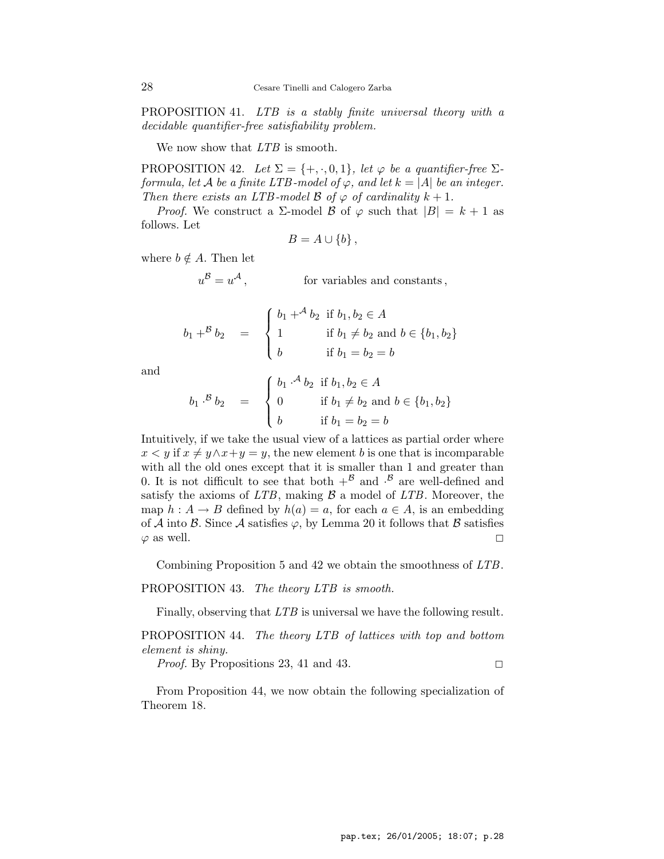PROPOSITION 41. LTB is a stably finite universal theory with a decidable quantifier-free satisfiability problem.

We now show that LTB is smooth.

PROPOSITION 42. Let  $\Sigma = \{+, \cdot, 0, 1\}$ , let  $\varphi$  be a quantifier-free  $\Sigma$ formula, let A be a finite LTB-model of  $\varphi$ , and let  $k = |A|$  be an integer. Then there exists an LTB-model  $\beta$  of  $\varphi$  of cardinality  $k + 1$ .

*Proof.* We construct a  $\Sigma$ -model  $\beta$  of  $\varphi$  such that  $|B| = k + 1$  as follows. Let

$$
B=A\cup\{b\}\,,
$$

where  $b \notin A$ . Then let

 $u^{\mathcal{B}}=u$ for variables and constants,

$$
b_1 +^B b_2 = \begin{cases} b_1 +^A b_2 & \text{if } b_1, b_2 \in A \\ 1 & \text{if } b_1 \neq b_2 \text{ and } b \in \{b_1, b_2\} \\ b & \text{if } b_1 = b_2 = b \end{cases}
$$

and

$$
b_1 \cdot^{B} b_2 = \begin{cases} b_1 \cdot^{A} b_2 & \text{if } b_1, b_2 \in A \\ 0 & \text{if } b_1 \neq b_2 \text{ and } b \in \{b_1, b_2\} \\ b & \text{if } b_1 = b_2 = b \end{cases}
$$

Intuitively, if we take the usual view of a lattices as partial order where  $x < y$  if  $x \neq y \land x + y = y$ , the new element b is one that is incomparable with all the old ones except that it is smaller than 1 and greater than 0. It is not difficult to see that both  $+^{B}$  and  $\cdot^{B}$  are well-defined and satisfy the axioms of  $LTB$ , making  $\beta$  a model of  $LTB$ . Moreover, the map  $h: A \to B$  defined by  $h(a) = a$ , for each  $a \in A$ , is an embedding of A into B. Since A satisfies  $\varphi$ , by Lemma 20 it follows that B satisfies  $\varphi$  as well.

Combining Proposition 5 and 42 we obtain the smoothness of LTB.

PROPOSITION 43. The theory LTB is smooth.

Finally, observing that LTB is universal we have the following result.

PROPOSITION 44. The theory LTB of lattices with top and bottom element is shiny.

*Proof.* By Propositions 23, 41 and 43.

From Proposition 44, we now obtain the following specialization of Theorem 18.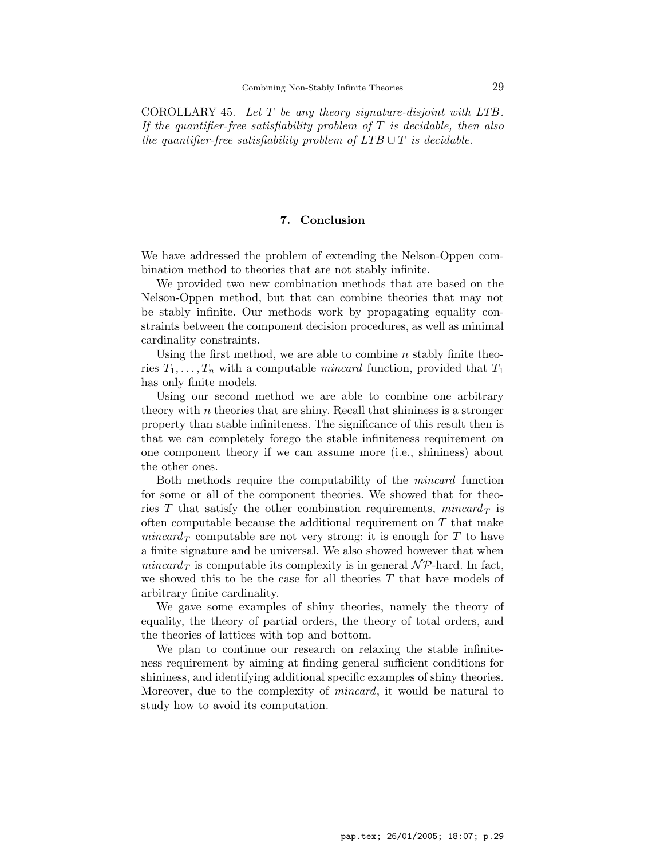COROLLARY 45. Let  $T$  be any theory signature-disjoint with LTB. If the quantifier-free satisfiability problem of  $T$  is decidable, then also the quantifier-free satisfiability problem of  $LTB \cup T$  is decidable.

## 7. Conclusion

We have addressed the problem of extending the Nelson-Oppen combination method to theories that are not stably infinite.

We provided two new combination methods that are based on the Nelson-Oppen method, but that can combine theories that may not be stably infinite. Our methods work by propagating equality constraints between the component decision procedures, as well as minimal cardinality constraints.

Using the first method, we are able to combine  $n$  stably finite theories  $T_1, \ldots, T_n$  with a computable *mincard* function, provided that  $T_1$ has only finite models.

Using our second method we are able to combine one arbitrary theory with  $n$  theories that are shiny. Recall that shininess is a stronger property than stable infiniteness. The significance of this result then is that we can completely forego the stable infiniteness requirement on one component theory if we can assume more (i.e., shininess) about the other ones.

Both methods require the computability of the mincard function for some or all of the component theories. We showed that for theories T that satisfy the other combination requirements, mincard  $_T$  is often computable because the additional requirement on  $T$  that make  $mincard_T$  computable are not very strong: it is enough for T to have a finite signature and be universal. We also showed however that when mincard<sub>T</sub> is computable its complexity is in general  $N \mathcal{P}$ -hard. In fact, we showed this to be the case for all theories  $T$  that have models of arbitrary finite cardinality.

We gave some examples of shiny theories, namely the theory of equality, the theory of partial orders, the theory of total orders, and the theories of lattices with top and bottom.

We plan to continue our research on relaxing the stable infiniteness requirement by aiming at finding general sufficient conditions for shininess, and identifying additional specific examples of shiny theories. Moreover, due to the complexity of *mincard*, it would be natural to study how to avoid its computation.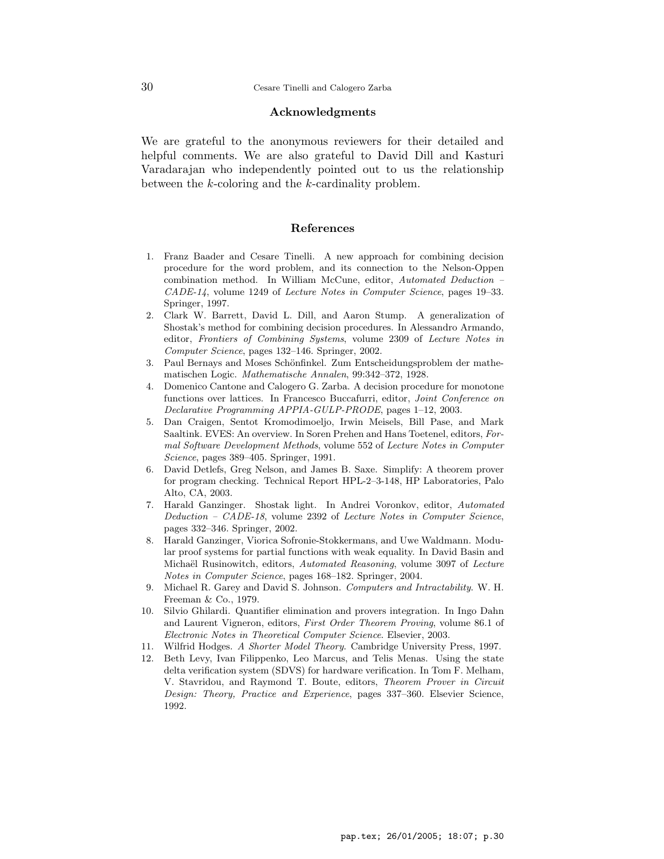## Acknowledgments

We are grateful to the anonymous reviewers for their detailed and helpful comments. We are also grateful to David Dill and Kasturi Varadarajan who independently pointed out to us the relationship between the k-coloring and the k-cardinality problem.

#### References

- 1. Franz Baader and Cesare Tinelli. A new approach for combining decision procedure for the word problem, and its connection to the Nelson-Oppen combination method. In William McCune, editor, Automated Deduction – CADE-14, volume 1249 of Lecture Notes in Computer Science, pages 19–33. Springer, 1997.
- 2. Clark W. Barrett, David L. Dill, and Aaron Stump. A generalization of Shostak's method for combining decision procedures. In Alessandro Armando, editor, Frontiers of Combining Systems, volume 2309 of Lecture Notes in Computer Science, pages 132–146. Springer, 2002.
- 3. Paul Bernays and Moses Schönfinkel. Zum Entscheidungsproblem der mathematischen Logic. Mathematische Annalen, 99:342–372, 1928.
- 4. Domenico Cantone and Calogero G. Zarba. A decision procedure for monotone functions over lattices. In Francesco Buccafurri, editor, Joint Conference on Declarative Programming APPIA-GULP-PRODE, pages 1–12, 2003.
- 5. Dan Craigen, Sentot Kromodimoeljo, Irwin Meisels, Bill Pase, and Mark Saaltink. EVES: An overview. In Soren Prehen and Hans Toetenel, editors, Formal Software Development Methods, volume 552 of Lecture Notes in Computer Science, pages 389–405. Springer, 1991.
- 6. David Detlefs, Greg Nelson, and James B. Saxe. Simplify: A theorem prover for program checking. Technical Report HPL-2–3-148, HP Laboratories, Palo Alto, CA, 2003.
- 7. Harald Ganzinger. Shostak light. In Andrei Voronkov, editor, Automated Deduction – CADE-18, volume 2392 of Lecture Notes in Computer Science, pages 332–346. Springer, 2002.
- 8. Harald Ganzinger, Viorica Sofronie-Stokkermans, and Uwe Waldmann. Modular proof systems for partial functions with weak equality. In David Basin and Michaël Rusinowitch, editors, *Automated Reasoning*, volume 3097 of *Lecture* Notes in Computer Science, pages 168–182. Springer, 2004.
- 9. Michael R. Garey and David S. Johnson. Computers and Intractability. W. H. Freeman & Co., 1979.
- 10. Silvio Ghilardi. Quantifier elimination and provers integration. In Ingo Dahn and Laurent Vigneron, editors, First Order Theorem Proving, volume 86.1 of Electronic Notes in Theoretical Computer Science. Elsevier, 2003.
- 11. Wilfrid Hodges. A Shorter Model Theory. Cambridge University Press, 1997.
- 12. Beth Levy, Ivan Filippenko, Leo Marcus, and Telis Menas. Using the state delta verification system (SDVS) for hardware verification. In Tom F. Melham, V. Stavridou, and Raymond T. Boute, editors, Theorem Prover in Circuit Design: Theory, Practice and Experience, pages 337–360. Elsevier Science, 1992.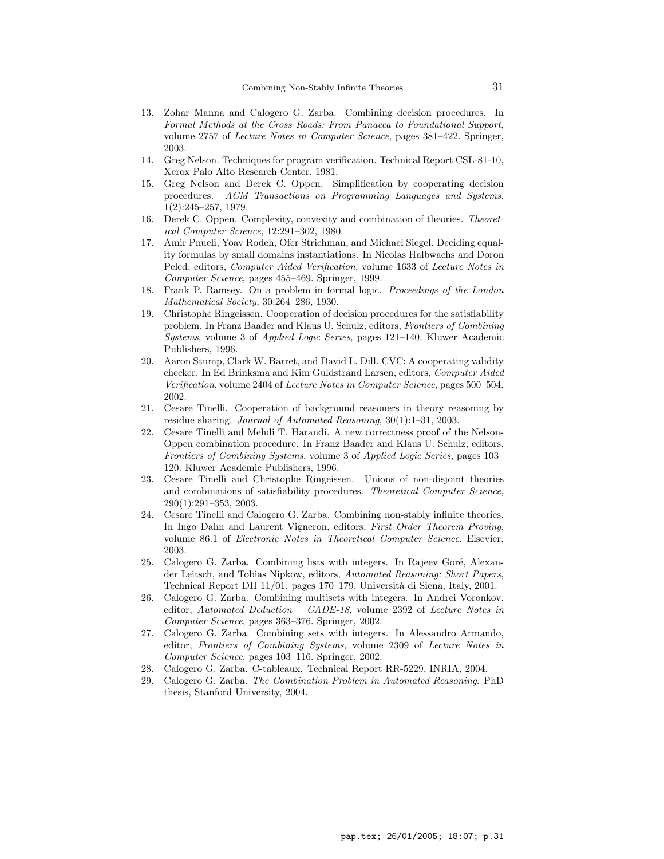- 13. Zohar Manna and Calogero G. Zarba. Combining decision procedures. In Formal Methods at the Cross Roads: From Panacea to Foundational Support, volume 2757 of Lecture Notes in Computer Science, pages 381–422. Springer, 2003.
- 14. Greg Nelson. Techniques for program verification. Technical Report CSL-81-10, Xerox Palo Alto Research Center, 1981.
- 15. Greg Nelson and Derek C. Oppen. Simplification by cooperating decision procedures. ACM Transactions on Programming Languages and Systems, 1(2):245–257, 1979.
- 16. Derek C. Oppen. Complexity, convexity and combination of theories. Theoretical Computer Science, 12:291–302, 1980.
- 17. Amir Pnueli, Yoav Rodeh, Ofer Strichman, and Michael Siegel. Deciding equality formulas by small domains instantiations. In Nicolas Halbwachs and Doron Peled, editors, Computer Aided Verification, volume 1633 of Lecture Notes in Computer Science, pages 455–469. Springer, 1999.
- 18. Frank P. Ramsey. On a problem in formal logic. Proceedings of the London Mathematical Society, 30:264–286, 1930.
- 19. Christophe Ringeissen. Cooperation of decision procedures for the satisfiability problem. In Franz Baader and Klaus U. Schulz, editors, Frontiers of Combining Systems, volume 3 of Applied Logic Series, pages 121–140. Kluwer Academic Publishers, 1996.
- 20. Aaron Stump, Clark W. Barret, and David L. Dill. CVC: A cooperating validity checker. In Ed Brinksma and Kim Guldstrand Larsen, editors, Computer Aided Verification, volume 2404 of Lecture Notes in Computer Science, pages 500–504, 2002.
- 21. Cesare Tinelli. Cooperation of background reasoners in theory reasoning by residue sharing. Journal of Automated Reasoning, 30(1):1–31, 2003.
- 22. Cesare Tinelli and Mehdi T. Harandi. A new correctness proof of the Nelson-Oppen combination procedure. In Franz Baader and Klaus U. Schulz, editors, Frontiers of Combining Systems, volume 3 of Applied Logic Series, pages 103– 120. Kluwer Academic Publishers, 1996.
- 23. Cesare Tinelli and Christophe Ringeissen. Unions of non-disjoint theories and combinations of satisfiability procedures. Theoretical Computer Science, 290(1):291–353, 2003.
- 24. Cesare Tinelli and Calogero G. Zarba. Combining non-stably infinite theories. In Ingo Dahn and Laurent Vigneron, editors, First Order Theorem Proving, volume 86.1 of Electronic Notes in Theoretical Computer Science. Elsevier, 2003.
- 25. Calogero G. Zarba. Combining lists with integers. In Rajeev Goré, Alexander Leitsch, and Tobias Nipkow, editors, Automated Reasoning: Short Papers, Technical Report DII 11/01, pages 170–179. Universit`a di Siena, Italy, 2001.
- 26. Calogero G. Zarba. Combining multisets with integers. In Andrei Voronkov, editor, Automated Deduction – CADE-18, volume 2392 of Lecture Notes in Computer Science, pages 363–376. Springer, 2002.
- 27. Calogero G. Zarba. Combining sets with integers. In Alessandro Armando, editor, Frontiers of Combining Systems, volume 2309 of Lecture Notes in Computer Science, pages 103–116. Springer, 2002.
- 28. Calogero G. Zarba. C-tableaux. Technical Report RR-5229, INRIA, 2004.
- 29. Calogero G. Zarba. The Combination Problem in Automated Reasoning. PhD thesis, Stanford University, 2004.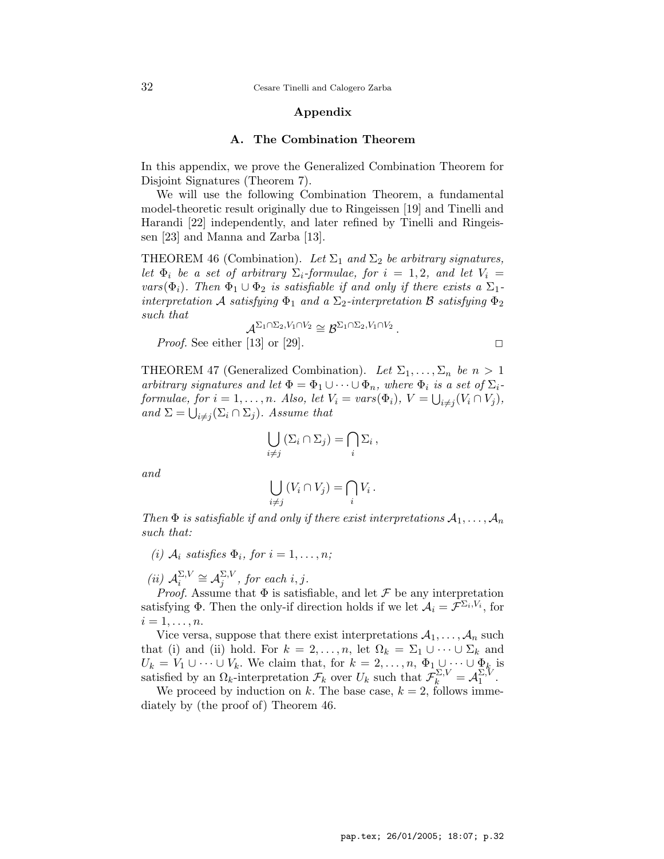32 Cesare Tinelli and Calogero Zarba

## Appendix

#### A. The Combination Theorem

In this appendix, we prove the Generalized Combination Theorem for Disjoint Signatures (Theorem 7).

We will use the following Combination Theorem, a fundamental model-theoretic result originally due to Ringeissen [19] and Tinelli and Harandi [22] independently, and later refined by Tinelli and Ringeissen [23] and Manna and Zarba [13].

THEOREM 46 (Combination). Let  $\Sigma_1$  and  $\Sigma_2$  be arbitrary signatures, let  $\Phi_i$  be a set of arbitrary  $\Sigma_i$ -formulae, for  $i = 1, 2$ , and let  $V_i =$ vars( $\Phi_i$ ). Then  $\Phi_1 \cup \Phi_2$  is satisfiable if and only if there exists a  $\Sigma_1$ interpretation  $\mathcal A$  satisfying  $\Phi_1$  and a  $\Sigma_2$ -interpretation  $\mathcal B$  satisfying  $\Phi_2$ such that

$$
\mathcal{A}^{\Sigma_1 \cap \Sigma_2, V_1 \cap V_2} \cong \mathcal{B}^{\Sigma_1 \cap \Sigma_2, V_1 \cap V_2}.
$$

*Proof.* See either [13] or [29].

THEOREM 47 (Generalized Combination). Let  $\Sigma_1, \ldots, \Sigma_n$  be  $n > 1$ arbitrary signatures and let  $\Phi = \Phi_1 \cup \cdots \cup \Phi_n$ , where  $\Phi_i$  is a set of  $\Sigma_i$ formulae, for  $i = 1, ..., n$ . Also, let  $V_i = vars(\Phi_i)$ ,  $V = \bigcup_{i \neq j} (V_i \cap V_j)$ , and  $\Sigma = \bigcup_{i \neq j} (\Sigma_i \cap \Sigma_j)$ . Assume that

$$
\bigcup_{i \neq j} (\Sigma_i \cap \Sigma_j) = \bigcap_i \Sigma_i ,
$$

and

$$
\bigcup_{i \neq j} (V_i \cap V_j) = \bigcap_i V_i \, .
$$

Then  $\Phi$  is satisfiable if and only if there exist interpretations  $A_1, \ldots, A_n$ such that:

(i)  $A_i$  satisfies  $\Phi_i$ , for  $i = 1, \ldots, n;$ 

 $(ii)$   $\mathcal{A}_i^{\Sigma,V}$  $\sum\limits_i^{\sum,V}\cong {\cal A}^{\sum,V}_j$  $j^{2,V}$ , for each i, j.

*Proof.* Assume that  $\Phi$  is satisfiable, and let  $\mathcal F$  be any interpretation satisfying  $\Phi$ . Then the only-if direction holds if we let  $\mathcal{A}_i = \mathcal{F}^{\Sigma_i, V_i}$ , for  $i=1,\ldots,n$ .

Vice versa, suppose that there exist interpretations  $A_1, \ldots, A_n$  such that (i) and (ii) hold. For  $k = 2, \ldots, n$ , let  $\Omega_k = \Sigma_1 \cup \cdots \cup \Sigma_k$  and  $U_k = V_1 \cup \cdots \cup V_k$ . We claim that, for  $k = 2, \ldots, n$ ,  $\Phi_1 \cup \cdots \cup \Phi_k$  is satisfied by an  $\Omega_k$ -interpretation  $\mathcal{F}_k$  over  $U_k$  such that  $\mathcal{F}_k^{\Sigma,V} = \mathcal{A}_1^{\Sigma,V}$  $\frac{2}{1}$ .

We proceed by induction on k. The base case,  $k = 2$ , follows immediately by (the proof of) Theorem 46.